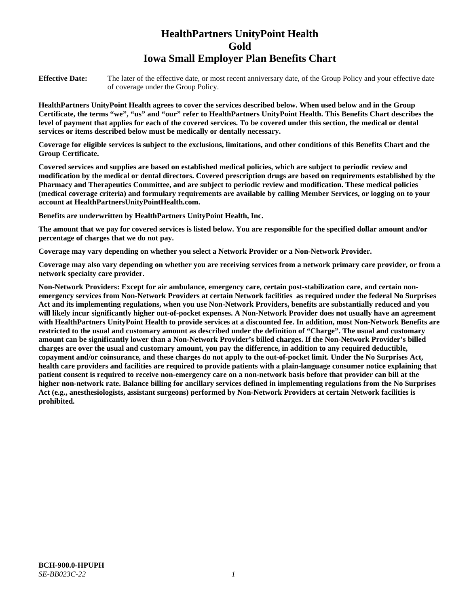# **HealthPartners UnityPoint Health Gold Iowa Small Employer Plan Benefits Chart**

**Effective Date:** The later of the effective date, or most recent anniversary date, of the Group Policy and your effective date of coverage under the Group Policy.

**HealthPartners UnityPoint Health agrees to cover the services described below. When used below and in the Group Certificate, the terms "we", "us" and "our" refer to HealthPartners UnityPoint Health. This Benefits Chart describes the level of payment that applies for each of the covered services. To be covered under this section, the medical or dental services or items described below must be medically or dentally necessary.**

**Coverage for eligible services is subject to the exclusions, limitations, and other conditions of this Benefits Chart and the Group Certificate.** 

**Covered services and supplies are based on established medical policies, which are subject to periodic review and modification by the medical or dental directors. Covered prescription drugs are based on requirements established by the Pharmacy and Therapeutics Committee, and are subject to periodic review and modification. These medical policies (medical coverage criteria) and formulary requirements are available by calling Member Services, or logging on to your account at [HealthPartnersUnityPointHealth.com.](https://www.healthpartnersunitypointhealth.com/)**

**Benefits are underwritten by HealthPartners UnityPoint Health, Inc.**

**The amount that we pay for covered services is listed below. You are responsible for the specified dollar amount and/or percentage of charges that we do not pay.**

**Coverage may vary depending on whether you select a Network Provider or a Non-Network Provider.**

**Coverage may also vary depending on whether you are receiving services from a network primary care provider, or from a network specialty care provider.**

**Non-Network Providers: Except for air ambulance, emergency care, certain post-stabilization care, and certain nonemergency services from Non-Network Providers at certain Network facilities as required under the federal No Surprises Act and its implementing regulations, when you use Non-Network Providers, benefits are substantially reduced and you will likely incur significantly higher out-of-pocket expenses. A Non-Network Provider does not usually have an agreement with HealthPartners UnityPoint Health to provide services at a discounted fee. In addition, most Non-Network Benefits are restricted to the usual and customary amount as described under the definition of "Charge". The usual and customary amount can be significantly lower than a Non-Network Provider's billed charges. If the Non-Network Provider's billed charges are over the usual and customary amount, you pay the difference, in addition to any required deductible, copayment and/or coinsurance, and these charges do not apply to the out-of-pocket limit. Under the No Surprises Act, health care providers and facilities are required to provide patients with a plain-language consumer notice explaining that patient consent is required to receive non-emergency care on a non-network basis before that provider can bill at the higher non-network rate. Balance billing for ancillary services defined in implementing regulations from the No Surprises Act (e.g., anesthesiologists, assistant surgeons) performed by Non-Network Providers at certain Network facilities is prohibited.**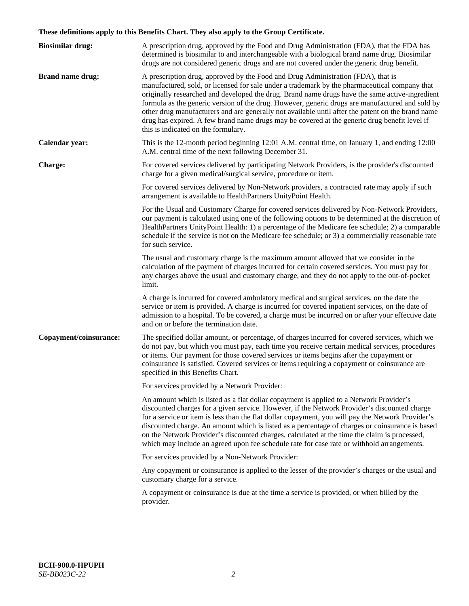# **These definitions apply to this Benefits Chart. They also apply to the Group Certificate.**

| <b>Biosimilar drug:</b> | A prescription drug, approved by the Food and Drug Administration (FDA), that the FDA has<br>determined is biosimilar to and interchangeable with a biological brand name drug. Biosimilar<br>drugs are not considered generic drugs and are not covered under the generic drug benefit.                                                                                                                                                                                                                                                                                                                                           |
|-------------------------|------------------------------------------------------------------------------------------------------------------------------------------------------------------------------------------------------------------------------------------------------------------------------------------------------------------------------------------------------------------------------------------------------------------------------------------------------------------------------------------------------------------------------------------------------------------------------------------------------------------------------------|
| <b>Brand name drug:</b> | A prescription drug, approved by the Food and Drug Administration (FDA), that is<br>manufactured, sold, or licensed for sale under a trademark by the pharmaceutical company that<br>originally researched and developed the drug. Brand name drugs have the same active-ingredient<br>formula as the generic version of the drug. However, generic drugs are manufactured and sold by<br>other drug manufacturers and are generally not available until after the patent on the brand name<br>drug has expired. A few brand name drugs may be covered at the generic drug benefit level if<br>this is indicated on the formulary. |
| Calendar year:          | This is the 12-month period beginning 12:01 A.M. central time, on January 1, and ending 12:00<br>A.M. central time of the next following December 31.                                                                                                                                                                                                                                                                                                                                                                                                                                                                              |
| <b>Charge:</b>          | For covered services delivered by participating Network Providers, is the provider's discounted<br>charge for a given medical/surgical service, procedure or item.                                                                                                                                                                                                                                                                                                                                                                                                                                                                 |
|                         | For covered services delivered by Non-Network providers, a contracted rate may apply if such<br>arrangement is available to HealthPartners UnityPoint Health.                                                                                                                                                                                                                                                                                                                                                                                                                                                                      |
|                         | For the Usual and Customary Charge for covered services delivered by Non-Network Providers,<br>our payment is calculated using one of the following options to be determined at the discretion of<br>HealthPartners UnityPoint Health: 1) a percentage of the Medicare fee schedule; 2) a comparable<br>schedule if the service is not on the Medicare fee schedule; or 3) a commercially reasonable rate<br>for such service.                                                                                                                                                                                                     |
|                         | The usual and customary charge is the maximum amount allowed that we consider in the<br>calculation of the payment of charges incurred for certain covered services. You must pay for<br>any charges above the usual and customary charge, and they do not apply to the out-of-pocket<br>limit.                                                                                                                                                                                                                                                                                                                                    |
|                         | A charge is incurred for covered ambulatory medical and surgical services, on the date the<br>service or item is provided. A charge is incurred for covered inpatient services, on the date of<br>admission to a hospital. To be covered, a charge must be incurred on or after your effective date<br>and on or before the termination date.                                                                                                                                                                                                                                                                                      |
| Copayment/coinsurance:  | The specified dollar amount, or percentage, of charges incurred for covered services, which we<br>do not pay, but which you must pay, each time you receive certain medical services, procedures<br>or items. Our payment for those covered services or items begins after the copayment or<br>coinsurance is satisfied. Covered services or items requiring a copayment or coinsurance are<br>specified in this Benefits Chart.                                                                                                                                                                                                   |
|                         | For services provided by a Network Provider:                                                                                                                                                                                                                                                                                                                                                                                                                                                                                                                                                                                       |
|                         | An amount which is listed as a flat dollar copayment is applied to a Network Provider's<br>discounted charges for a given service. However, if the Network Provider's discounted charge<br>for a service or item is less than the flat dollar copayment, you will pay the Network Provider's<br>discounted charge. An amount which is listed as a percentage of charges or coinsurance is based<br>on the Network Provider's discounted charges, calculated at the time the claim is processed,<br>which may include an agreed upon fee schedule rate for case rate or withhold arrangements.                                      |
|                         | For services provided by a Non-Network Provider:                                                                                                                                                                                                                                                                                                                                                                                                                                                                                                                                                                                   |
|                         | Any copayment or coinsurance is applied to the lesser of the provider's charges or the usual and<br>customary charge for a service.                                                                                                                                                                                                                                                                                                                                                                                                                                                                                                |
|                         | A copayment or coinsurance is due at the time a service is provided, or when billed by the<br>provider.                                                                                                                                                                                                                                                                                                                                                                                                                                                                                                                            |
|                         |                                                                                                                                                                                                                                                                                                                                                                                                                                                                                                                                                                                                                                    |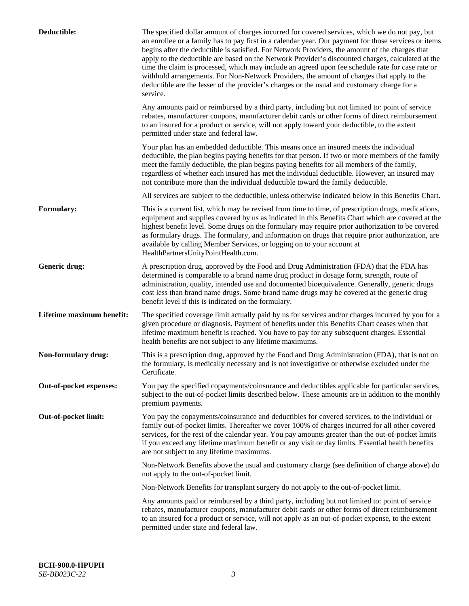| Deductible:               | The specified dollar amount of charges incurred for covered services, which we do not pay, but<br>an enrollee or a family has to pay first in a calendar year. Our payment for those services or items<br>begins after the deductible is satisfied. For Network Providers, the amount of the charges that<br>apply to the deductible are based on the Network Provider's discounted charges, calculated at the<br>time the claim is processed, which may include an agreed upon fee schedule rate for case rate or<br>withhold arrangements. For Non-Network Providers, the amount of charges that apply to the<br>deductible are the lesser of the provider's charges or the usual and customary charge for a<br>service. |
|---------------------------|----------------------------------------------------------------------------------------------------------------------------------------------------------------------------------------------------------------------------------------------------------------------------------------------------------------------------------------------------------------------------------------------------------------------------------------------------------------------------------------------------------------------------------------------------------------------------------------------------------------------------------------------------------------------------------------------------------------------------|
|                           | Any amounts paid or reimbursed by a third party, including but not limited to: point of service<br>rebates, manufacturer coupons, manufacturer debit cards or other forms of direct reimbursement<br>to an insured for a product or service, will not apply toward your deductible, to the extent<br>permitted under state and federal law.                                                                                                                                                                                                                                                                                                                                                                                |
|                           | Your plan has an embedded deductible. This means once an insured meets the individual<br>deductible, the plan begins paying benefits for that person. If two or more members of the family<br>meet the family deductible, the plan begins paying benefits for all members of the family,<br>regardless of whether each insured has met the individual deductible. However, an insured may<br>not contribute more than the individual deductible toward the family deductible.                                                                                                                                                                                                                                              |
|                           | All services are subject to the deductible, unless otherwise indicated below in this Benefits Chart.                                                                                                                                                                                                                                                                                                                                                                                                                                                                                                                                                                                                                       |
| <b>Formulary:</b>         | This is a current list, which may be revised from time to time, of prescription drugs, medications,<br>equipment and supplies covered by us as indicated in this Benefits Chart which are covered at the<br>highest benefit level. Some drugs on the formulary may require prior authorization to be covered<br>as formulary drugs. The formulary, and information on drugs that require prior authorization, are<br>available by calling Member Services, or logging on to your account at<br>HealthPartnersUnityPointHealth.com.                                                                                                                                                                                         |
| Generic drug:             | A prescription drug, approved by the Food and Drug Administration (FDA) that the FDA has<br>determined is comparable to a brand name drug product in dosage form, strength, route of<br>administration, quality, intended use and documented bioequivalence. Generally, generic drugs<br>cost less than brand name drugs. Some brand name drugs may be covered at the generic drug<br>benefit level if this is indicated on the formulary.                                                                                                                                                                                                                                                                                 |
| Lifetime maximum benefit: | The specified coverage limit actually paid by us for services and/or charges incurred by you for a<br>given procedure or diagnosis. Payment of benefits under this Benefits Chart ceases when that<br>lifetime maximum benefit is reached. You have to pay for any subsequent charges. Essential<br>health benefits are not subject to any lifetime maximums.                                                                                                                                                                                                                                                                                                                                                              |
| Non-formulary drug:       | This is a prescription drug, approved by the Food and Drug Administration (FDA), that is not on<br>the formulary, is medically necessary and is not investigative or otherwise excluded under the<br>Certificate.                                                                                                                                                                                                                                                                                                                                                                                                                                                                                                          |
| Out-of-pocket expenses:   | You pay the specified copayments/coinsurance and deductibles applicable for particular services,<br>subject to the out-of-pocket limits described below. These amounts are in addition to the monthly<br>premium payments.                                                                                                                                                                                                                                                                                                                                                                                                                                                                                                 |
| Out-of-pocket limit:      | You pay the copayments/coinsurance and deductibles for covered services, to the individual or<br>family out-of-pocket limits. Thereafter we cover 100% of charges incurred for all other covered<br>services, for the rest of the calendar year. You pay amounts greater than the out-of-pocket limits<br>if you exceed any lifetime maximum benefit or any visit or day limits. Essential health benefits<br>are not subject to any lifetime maximums.                                                                                                                                                                                                                                                                    |
|                           | Non-Network Benefits above the usual and customary charge (see definition of charge above) do<br>not apply to the out-of-pocket limit.                                                                                                                                                                                                                                                                                                                                                                                                                                                                                                                                                                                     |
|                           | Non-Network Benefits for transplant surgery do not apply to the out-of-pocket limit.                                                                                                                                                                                                                                                                                                                                                                                                                                                                                                                                                                                                                                       |
|                           | Any amounts paid or reimbursed by a third party, including but not limited to: point of service<br>rebates, manufacturer coupons, manufacturer debit cards or other forms of direct reimbursement<br>to an insured for a product or service, will not apply as an out-of-pocket expense, to the extent<br>permitted under state and federal law.                                                                                                                                                                                                                                                                                                                                                                           |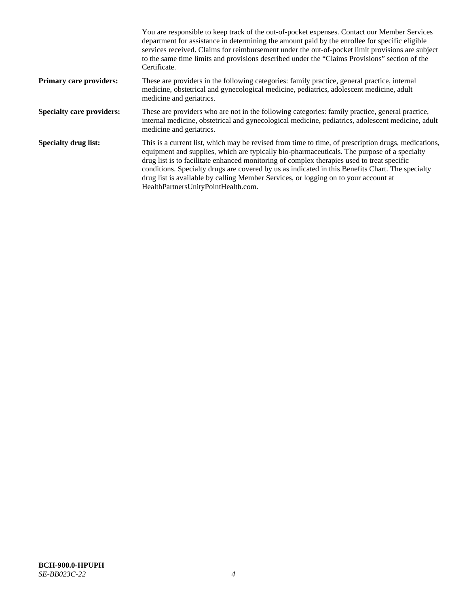|                                  | You are responsible to keep track of the out-of-pocket expenses. Contact our Member Services<br>department for assistance in determining the amount paid by the enrollee for specific eligible<br>services received. Claims for reimbursement under the out-of-pocket limit provisions are subject<br>to the same time limits and provisions described under the "Claims Provisions" section of the<br>Certificate.                                                                                                                |
|----------------------------------|------------------------------------------------------------------------------------------------------------------------------------------------------------------------------------------------------------------------------------------------------------------------------------------------------------------------------------------------------------------------------------------------------------------------------------------------------------------------------------------------------------------------------------|
| <b>Primary care providers:</b>   | These are providers in the following categories: family practice, general practice, internal<br>medicine, obstetrical and gynecological medicine, pediatrics, adolescent medicine, adult<br>medicine and geriatrics.                                                                                                                                                                                                                                                                                                               |
| <b>Specialty care providers:</b> | These are providers who are not in the following categories: family practice, general practice,<br>internal medicine, obstetrical and gynecological medicine, pediatrics, adolescent medicine, adult<br>medicine and geriatrics.                                                                                                                                                                                                                                                                                                   |
| <b>Specialty drug list:</b>      | This is a current list, which may be revised from time to time, of prescription drugs, medications,<br>equipment and supplies, which are typically bio-pharmaceuticals. The purpose of a specialty<br>drug list is to facilitate enhanced monitoring of complex therapies used to treat specific<br>conditions. Specialty drugs are covered by us as indicated in this Benefits Chart. The specialty<br>drug list is available by calling Member Services, or logging on to your account at<br>HealthPartnersUnityPointHealth.com. |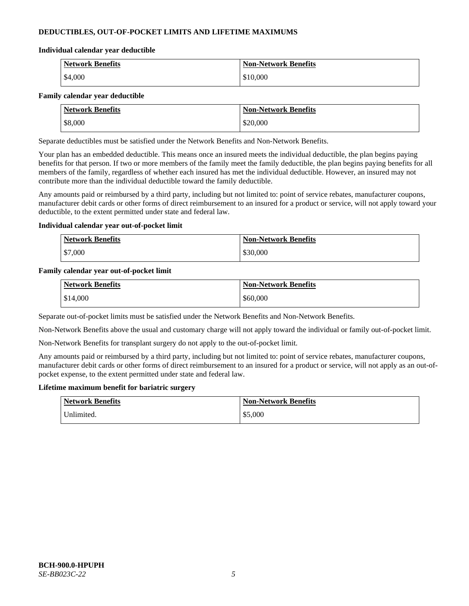# **DEDUCTIBLES, OUT-OF-POCKET LIMITS AND LIFETIME MAXIMUMS**

#### **Individual calendar year deductible**

| <b>Network Benefits</b> | <b>Non-Network Benefits</b> |
|-------------------------|-----------------------------|
| \$4,000                 | \$10,000                    |

### **Family calendar year deductible**

| <b>Network Benefits</b> | <b>Non-Network Benefits</b> |
|-------------------------|-----------------------------|
| \$8,000                 | \$20,000                    |

Separate deductibles must be satisfied under the Network Benefits and Non-Network Benefits.

Your plan has an embedded deductible. This means once an insured meets the individual deductible, the plan begins paying benefits for that person. If two or more members of the family meet the family deductible, the plan begins paying benefits for all members of the family, regardless of whether each insured has met the individual deductible. However, an insured may not contribute more than the individual deductible toward the family deductible.

Any amounts paid or reimbursed by a third party, including but not limited to: point of service rebates, manufacturer coupons, manufacturer debit cards or other forms of direct reimbursement to an insured for a product or service, will not apply toward your deductible, to the extent permitted under state and federal law.

### **Individual calendar year out-of-pocket limit**

| <b>Network Benefits</b> | <b>Non-Network Benefits</b> |
|-------------------------|-----------------------------|
| \$7,000                 | \$30,000                    |

### **Family calendar year out-of-pocket limit**

| <b>Network Benefits</b> | <b>Non-Network Benefits</b> |
|-------------------------|-----------------------------|
| \$14,000                | \$60,000                    |

Separate out-of-pocket limits must be satisfied under the Network Benefits and Non-Network Benefits.

Non-Network Benefits above the usual and customary charge will not apply toward the individual or family out-of-pocket limit.

Non-Network Benefits for transplant surgery do not apply to the out-of-pocket limit.

Any amounts paid or reimbursed by a third party, including but not limited to: point of service rebates, manufacturer coupons, manufacturer debit cards or other forms of direct reimbursement to an insured for a product or service, will not apply as an out-ofpocket expense, to the extent permitted under state and federal law.

#### **Lifetime maximum benefit for bariatric surgery**

| <b>Network Benefits</b> | <b>Non-Network Benefits</b> |
|-------------------------|-----------------------------|
| Jnlimited.              | \$5,000                     |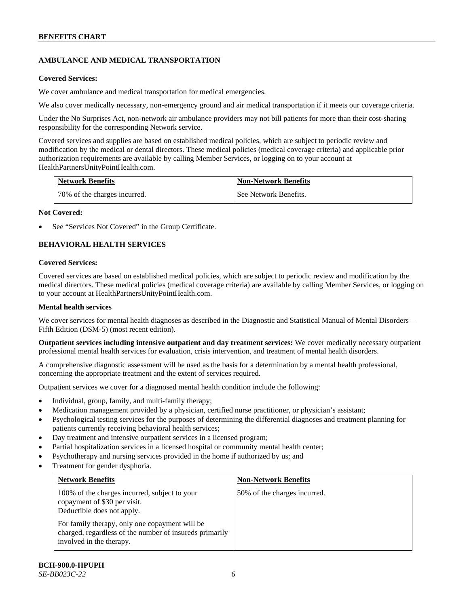# **AMBULANCE AND MEDICAL TRANSPORTATION**

### **Covered Services:**

We cover ambulance and medical transportation for medical emergencies.

We also cover medically necessary, non-emergency ground and air medical transportation if it meets our coverage criteria.

Under the No Surprises Act, non-network air ambulance providers may not bill patients for more than their cost-sharing responsibility for the corresponding Network service.

Covered services and supplies are based on established medical policies, which are subject to periodic review and modification by the medical or dental directors. These medical policies (medical coverage criteria) and applicable prior authorization requirements are available by calling Member Services, or logging on to your account at [HealthPartnersUnityPointHealth.com.](https://www.healthpartnersunitypointhealth.com/)

| <b>Network Benefits</b>      | <b>Non-Network Benefits</b> |
|------------------------------|-----------------------------|
| 70% of the charges incurred. | See Network Benefits.       |

### **Not Covered:**

See "Services Not Covered" in the Group Certificate.

# **BEHAVIORAL HEALTH SERVICES**

### **Covered Services:**

Covered services are based on established medical policies, which are subject to periodic review and modification by the medical directors. These medical policies (medical coverage criteria) are available by calling Member Services, or logging on to your account at [HealthPartnersUnityPointHealth.com.](https://www.healthpartnersunitypointhealth.com/)

### **Mental health services**

We cover services for mental health diagnoses as described in the Diagnostic and Statistical Manual of Mental Disorders – Fifth Edition (DSM-5) (most recent edition).

**Outpatient services including intensive outpatient and day treatment services:** We cover medically necessary outpatient professional mental health services for evaluation, crisis intervention, and treatment of mental health disorders.

A comprehensive diagnostic assessment will be used as the basis for a determination by a mental health professional, concerning the appropriate treatment and the extent of services required.

Outpatient services we cover for a diagnosed mental health condition include the following:

- Individual, group, family, and multi-family therapy;
- Medication management provided by a physician, certified nurse practitioner, or physician's assistant;
- Psychological testing services for the purposes of determining the differential diagnoses and treatment planning for patients currently receiving behavioral health services;
- Day treatment and intensive outpatient services in a licensed program;
- Partial hospitalization services in a licensed hospital or community mental health center;
- Psychotherapy and nursing services provided in the home if authorized by us; and
- Treatment for gender dysphoria.

| <b>Network Benefits</b>                                                                                                               | <b>Non-Network Benefits</b>  |
|---------------------------------------------------------------------------------------------------------------------------------------|------------------------------|
| 100% of the charges incurred, subject to your<br>copayment of \$30 per visit.<br>Deductible does not apply.                           | 50% of the charges incurred. |
| For family therapy, only one copayment will be<br>charged, regardless of the number of insureds primarily<br>involved in the therapy. |                              |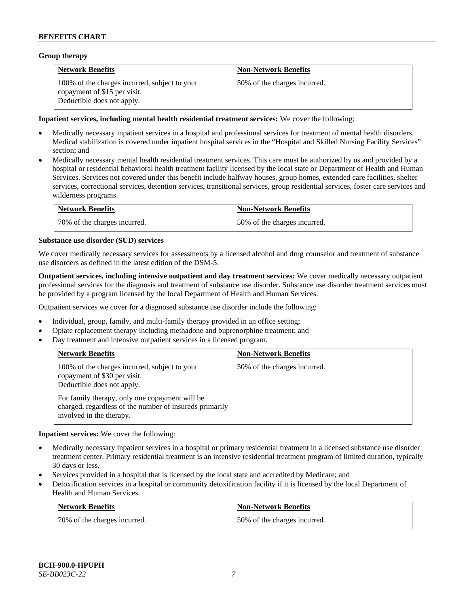### **Group therapy**

| <b>Network Benefits</b>                                                                                     | <b>Non-Network Benefits</b>  |
|-------------------------------------------------------------------------------------------------------------|------------------------------|
| 100% of the charges incurred, subject to your<br>copayment of \$15 per visit.<br>Deductible does not apply. | 50% of the charges incurred. |

### **Inpatient services, including mental health residential treatment services:** We cover the following:

- Medically necessary inpatient services in a hospital and professional services for treatment of mental health disorders. Medical stabilization is covered under inpatient hospital services in the "Hospital and Skilled Nursing Facility Services" section; and
- Medically necessary mental health residential treatment services. This care must be authorized by us and provided by a hospital or residential behavioral health treatment facility licensed by the local state or Department of Health and Human Services. Services not covered under this benefit include halfway houses, group homes, extended care facilities, shelter services, correctional services, detention services, transitional services, group residential services, foster care services and wilderness programs.

| <b>Network Benefits</b>      | <b>Non-Network Benefits</b>  |
|------------------------------|------------------------------|
| 70% of the charges incurred. | 50% of the charges incurred. |

### **Substance use disorder (SUD) services**

We cover medically necessary services for assessments by a licensed alcohol and drug counselor and treatment of substance use disorders as defined in the latest edition of the DSM-5.

**Outpatient services, including intensive outpatient and day treatment services:** We cover medically necessary outpatient professional services for the diagnosis and treatment of substance use disorder. Substance use disorder treatment services must be provided by a program licensed by the local Department of Health and Human Services.

Outpatient services we cover for a diagnosed substance use disorder include the following:

- Individual, group, family, and multi-family therapy provided in an office setting;
- Opiate replacement therapy including methadone and buprenorphine treatment; and
- Day treatment and intensive outpatient services in a licensed program.

| <b>Network Benefits</b>                                                                                                                                                                                                                              | <b>Non-Network Benefits</b>  |
|------------------------------------------------------------------------------------------------------------------------------------------------------------------------------------------------------------------------------------------------------|------------------------------|
| 100% of the charges incurred, subject to your<br>copayment of \$30 per visit.<br>Deductible does not apply.<br>For family therapy, only one copayment will be<br>charged, regardless of the number of insureds primarily<br>involved in the therapy. | 50% of the charges incurred. |

**Inpatient services:** We cover the following:

- Medically necessary inpatient services in a hospital or primary residential treatment in a licensed substance use disorder treatment center. Primary residential treatment is an intensive residential treatment program of limited duration, typically 30 days or less.
- Services provided in a hospital that is licensed by the local state and accredited by Medicare; and
- Detoxification services in a hospital or community detoxification facility if it is licensed by the local Department of Health and Human Services.

| <b>Network Benefits</b>      | <b>Non-Network Benefits</b>  |
|------------------------------|------------------------------|
| 70% of the charges incurred. | 50% of the charges incurred. |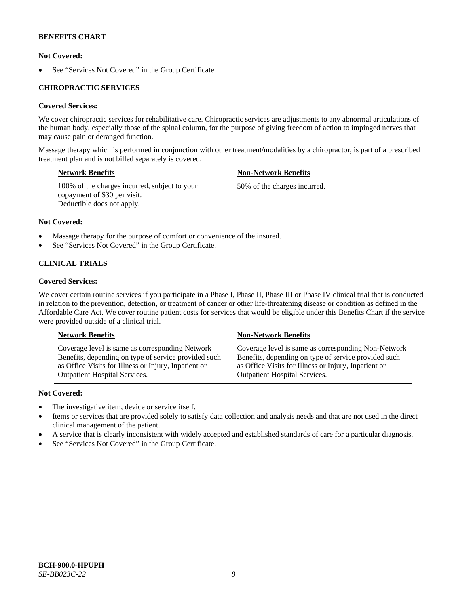# **Not Covered:**

See "Services Not Covered" in the Group Certificate.

# **CHIROPRACTIC SERVICES**

# **Covered Services:**

We cover chiropractic services for rehabilitative care. Chiropractic services are adjustments to any abnormal articulations of the human body, especially those of the spinal column, for the purpose of giving freedom of action to impinged nerves that may cause pain or deranged function.

Massage therapy which is performed in conjunction with other treatment/modalities by a chiropractor, is part of a prescribed treatment plan and is not billed separately is covered.

| <b>Network Benefits</b>                                                                                     | <b>Non-Network Benefits</b>  |
|-------------------------------------------------------------------------------------------------------------|------------------------------|
| 100% of the charges incurred, subject to your<br>copayment of \$30 per visit.<br>Deductible does not apply. | 50% of the charges incurred. |

# **Not Covered:**

- Massage therapy for the purpose of comfort or convenience of the insured.
- See "Services Not Covered" in the Group Certificate.

# **CLINICAL TRIALS**

# **Covered Services:**

We cover certain routine services if you participate in a Phase I, Phase II, Phase III or Phase IV clinical trial that is conducted in relation to the prevention, detection, or treatment of cancer or other life-threatening disease or condition as defined in the Affordable Care Act. We cover routine patient costs for services that would be eligible under this Benefits Chart if the service were provided outside of a clinical trial.

| <b>Network Benefits</b>                              | <b>Non-Network Benefits</b>                          |
|------------------------------------------------------|------------------------------------------------------|
| Coverage level is same as corresponding Network      | Coverage level is same as corresponding Non-Network  |
| Benefits, depending on type of service provided such | Benefits, depending on type of service provided such |
| as Office Visits for Illness or Injury, Inpatient or | as Office Visits for Illness or Injury, Inpatient or |
| <b>Outpatient Hospital Services.</b>                 | <b>Outpatient Hospital Services.</b>                 |

# **Not Covered:**

- The investigative item, device or service itself.
- Items or services that are provided solely to satisfy data collection and analysis needs and that are not used in the direct clinical management of the patient.
- A service that is clearly inconsistent with widely accepted and established standards of care for a particular diagnosis.
- See "Services Not Covered" in the Group Certificate.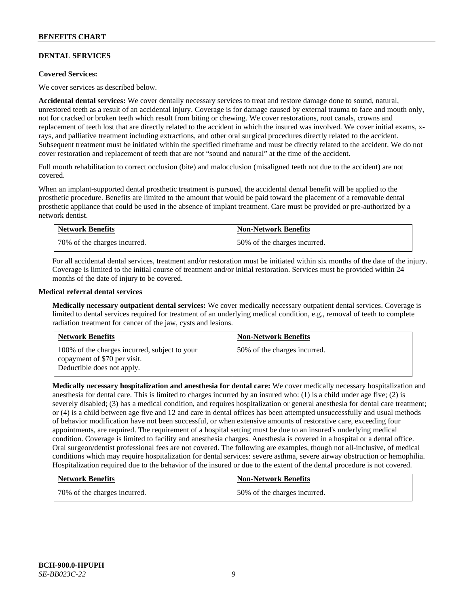# **DENTAL SERVICES**

### **Covered Services:**

We cover services as described below.

**Accidental dental services:** We cover dentally necessary services to treat and restore damage done to sound, natural, unrestored teeth as a result of an accidental injury. Coverage is for damage caused by external trauma to face and mouth only, not for cracked or broken teeth which result from biting or chewing. We cover restorations, root canals, crowns and replacement of teeth lost that are directly related to the accident in which the insured was involved. We cover initial exams, xrays, and palliative treatment including extractions, and other oral surgical procedures directly related to the accident. Subsequent treatment must be initiated within the specified timeframe and must be directly related to the accident. We do not cover restoration and replacement of teeth that are not "sound and natural" at the time of the accident.

Full mouth rehabilitation to correct occlusion (bite) and malocclusion (misaligned teeth not due to the accident) are not covered.

When an implant-supported dental prosthetic treatment is pursued, the accidental dental benefit will be applied to the prosthetic procedure. Benefits are limited to the amount that would be paid toward the placement of a removable dental prosthetic appliance that could be used in the absence of implant treatment. Care must be provided or pre-authorized by a network dentist.

| <b>Network Benefits</b>      | <b>Non-Network Benefits</b>  |
|------------------------------|------------------------------|
| 70% of the charges incurred. | 50% of the charges incurred. |

For all accidental dental services, treatment and/or restoration must be initiated within six months of the date of the injury. Coverage is limited to the initial course of treatment and/or initial restoration. Services must be provided within 24 months of the date of injury to be covered.

### **Medical referral dental services**

**Medically necessary outpatient dental services:** We cover medically necessary outpatient dental services. Coverage is limited to dental services required for treatment of an underlying medical condition, e.g., removal of teeth to complete radiation treatment for cancer of the jaw, cysts and lesions.

| <b>Network Benefits</b>                                                                                     | <b>Non-Network Benefits</b>  |
|-------------------------------------------------------------------------------------------------------------|------------------------------|
| 100% of the charges incurred, subject to your<br>copayment of \$70 per visit.<br>Deductible does not apply. | 50% of the charges incurred. |

**Medically necessary hospitalization and anesthesia for dental care:** We cover medically necessary hospitalization and anesthesia for dental care. This is limited to charges incurred by an insured who: (1) is a child under age five; (2) is severely disabled; (3) has a medical condition, and requires hospitalization or general anesthesia for dental care treatment; or (4) is a child between age five and 12 and care in dental offices has been attempted unsuccessfully and usual methods of behavior modification have not been successful, or when extensive amounts of restorative care, exceeding four appointments, are required. The requirement of a hospital setting must be due to an insured's underlying medical condition. Coverage is limited to facility and anesthesia charges. Anesthesia is covered in a hospital or a dental office. Oral surgeon/dentist professional fees are not covered. The following are examples, though not all-inclusive, of medical conditions which may require hospitalization for dental services: severe asthma, severe airway obstruction or hemophilia. Hospitalization required due to the behavior of the insured or due to the extent of the dental procedure is not covered.

| <b>Network Benefits</b>      | <b>Non-Network Benefits</b>  |
|------------------------------|------------------------------|
| 70% of the charges incurred. | 50% of the charges incurred. |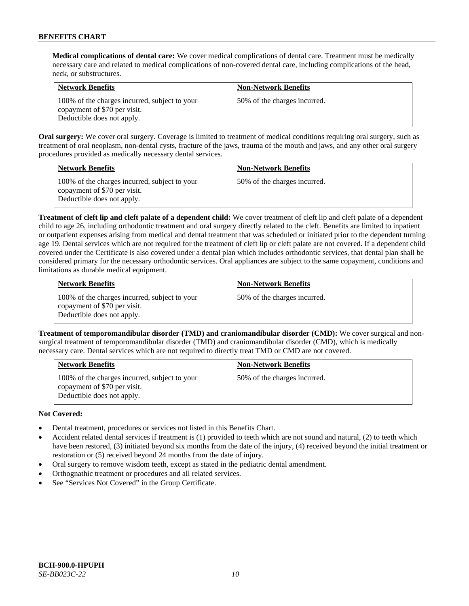**Medical complications of dental care:** We cover medical complications of dental care. Treatment must be medically necessary care and related to medical complications of non-covered dental care, including complications of the head, neck, or substructures.

| <b>Network Benefits</b>                                                                                     | <b>Non-Network Benefits</b>  |
|-------------------------------------------------------------------------------------------------------------|------------------------------|
| 100% of the charges incurred, subject to your<br>copayment of \$70 per visit.<br>Deductible does not apply. | 50% of the charges incurred. |

**Oral surgery:** We cover oral surgery. Coverage is limited to treatment of medical conditions requiring oral surgery, such as treatment of oral neoplasm, non-dental cysts, fracture of the jaws, trauma of the mouth and jaws, and any other oral surgery procedures provided as medically necessary dental services.

| <b>Network Benefits</b>                                                                                     | <b>Non-Network Benefits</b>  |
|-------------------------------------------------------------------------------------------------------------|------------------------------|
| 100% of the charges incurred, subject to your<br>copayment of \$70 per visit.<br>Deductible does not apply. | 50% of the charges incurred. |

**Treatment of cleft lip and cleft palate of a dependent child:** We cover treatment of cleft lip and cleft palate of a dependent child to age 26, including orthodontic treatment and oral surgery directly related to the cleft. Benefits are limited to inpatient or outpatient expenses arising from medical and dental treatment that was scheduled or initiated prior to the dependent turning age 19. Dental services which are not required for the treatment of cleft lip or cleft palate are not covered. If a dependent child covered under the Certificate is also covered under a dental plan which includes orthodontic services, that dental plan shall be considered primary for the necessary orthodontic services. Oral appliances are subject to the same copayment, conditions and limitations as durable medical equipment.

| <b>Network Benefits</b>                                                                                     | <b>Non-Network Benefits</b>  |
|-------------------------------------------------------------------------------------------------------------|------------------------------|
| 100% of the charges incurred, subject to your<br>copayment of \$70 per visit.<br>Deductible does not apply. | 50% of the charges incurred. |

**Treatment of temporomandibular disorder (TMD) and craniomandibular disorder (CMD):** We cover surgical and nonsurgical treatment of temporomandibular disorder (TMD) and craniomandibular disorder (CMD), which is medically necessary care. Dental services which are not required to directly treat TMD or CMD are not covered.

| <b>Network Benefits</b>                                                                                     | <b>Non-Network Benefits</b>  |
|-------------------------------------------------------------------------------------------------------------|------------------------------|
| 100% of the charges incurred, subject to your<br>copayment of \$70 per visit.<br>Deductible does not apply. | 50% of the charges incurred. |

# **Not Covered:**

- Dental treatment, procedures or services not listed in this Benefits Chart.
- Accident related dental services if treatment is (1) provided to teeth which are not sound and natural, (2) to teeth which have been restored, (3) initiated beyond six months from the date of the injury, (4) received beyond the initial treatment or restoration or (5) received beyond 24 months from the date of injury.
- Oral surgery to remove wisdom teeth, except as stated in the pediatric dental amendment.
- Orthognathic treatment or procedures and all related services.
- See "Services Not Covered" in the Group Certificate.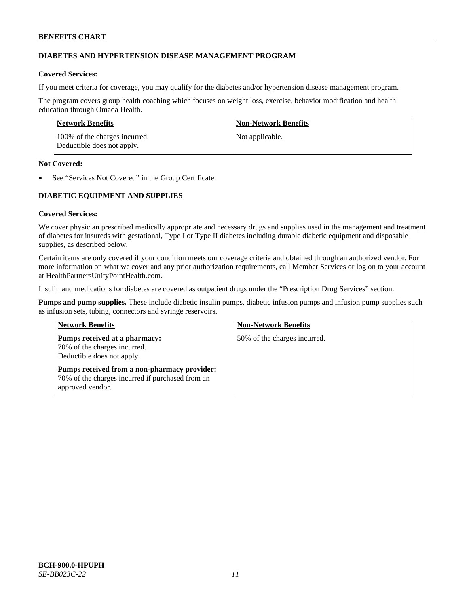# **DIABETES AND HYPERTENSION DISEASE MANAGEMENT PROGRAM**

# **Covered Services:**

If you meet criteria for coverage, you may qualify for the diabetes and/or hypertension disease management program.

The program covers group health coaching which focuses on weight loss, exercise, behavior modification and health education through Omada Health.

| Network Benefits                                            | Non-Network Benefits |
|-------------------------------------------------------------|----------------------|
| 100% of the charges incurred.<br>Deductible does not apply. | Not applicable.      |

### **Not Covered:**

See "Services Not Covered" in the Group Certificate.

# **DIABETIC EQUIPMENT AND SUPPLIES**

# **Covered Services:**

We cover physician prescribed medically appropriate and necessary drugs and supplies used in the management and treatment of diabetes for insureds with gestational, Type I or Type II diabetes including durable diabetic equipment and disposable supplies, as described below.

Certain items are only covered if your condition meets our coverage criteria and obtained through an authorized vendor. For more information on what we cover and any prior authorization requirements, call Member Services or log on to your account at [HealthPartnersUnityPointHealth.com.](https://www.healthpartnersunitypointhealth.com/)

Insulin and medications for diabetes are covered as outpatient drugs under the "Prescription Drug Services" section.

**Pumps and pump supplies.** These include diabetic insulin pumps, diabetic infusion pumps and infusion pump supplies such as infusion sets, tubing, connectors and syringe reservoirs.

| <b>Network Benefits</b>                                                                                              | <b>Non-Network Benefits</b>  |
|----------------------------------------------------------------------------------------------------------------------|------------------------------|
| Pumps received at a pharmacy:<br>70% of the charges incurred.<br>Deductible does not apply.                          | 50% of the charges incurred. |
| Pumps received from a non-pharmacy provider:<br>70% of the charges incurred if purchased from an<br>approved vendor. |                              |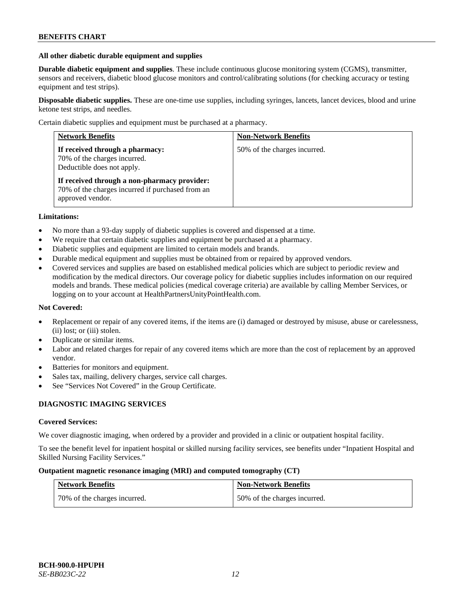### **All other diabetic durable equipment and supplies**

**Durable diabetic equipment and supplies**. These include continuous glucose monitoring system (CGMS), transmitter, sensors and receivers, diabetic blood glucose monitors and control/calibrating solutions (for checking accuracy or testing equipment and test strips).

**Disposable diabetic supplies.** These are one-time use supplies, including syringes, lancets, lancet devices, blood and urine ketone test strips, and needles.

Certain diabetic supplies and equipment must be purchased at a pharmacy.

| <b>Network Benefits</b>                                                                                              | <b>Non-Network Benefits</b>  |
|----------------------------------------------------------------------------------------------------------------------|------------------------------|
| If received through a pharmacy:<br>70% of the charges incurred.<br>Deductible does not apply.                        | 50% of the charges incurred. |
| If received through a non-pharmacy provider:<br>70% of the charges incurred if purchased from an<br>approved vendor. |                              |

### **Limitations:**

- No more than a 93-day supply of diabetic supplies is covered and dispensed at a time.
- We require that certain diabetic supplies and equipment be purchased at a pharmacy.
- Diabetic supplies and equipment are limited to certain models and brands.
- Durable medical equipment and supplies must be obtained from or repaired by approved vendors.
- Covered services and supplies are based on established medical policies which are subject to periodic review and modification by the medical directors. Our coverage policy for diabetic supplies includes information on our required models and brands. These medical policies (medical coverage criteria) are available by calling Member Services, or logging on to your account a[t HealthPartnersUnityPointHealth.com.](https://www.healthpartnersunitypointhealth.com/)

# **Not Covered:**

- Replacement or repair of any covered items, if the items are (i) damaged or destroyed by misuse, abuse or carelessness, (ii) lost; or (iii) stolen.
- Duplicate or similar items.
- Labor and related charges for repair of any covered items which are more than the cost of replacement by an approved vendor.
- Batteries for monitors and equipment.
- Sales tax, mailing, delivery charges, service call charges.
- See "Services Not Covered" in the Group Certificate.

# **DIAGNOSTIC IMAGING SERVICES**

#### **Covered Services:**

We cover diagnostic imaging, when ordered by a provider and provided in a clinic or outpatient hospital facility.

To see the benefit level for inpatient hospital or skilled nursing facility services, see benefits under "Inpatient Hospital and Skilled Nursing Facility Services."

### **Outpatient magnetic resonance imaging (MRI) and computed tomography (CT)**

| <b>Network Benefits</b>      | <b>Non-Network Benefits</b>  |
|------------------------------|------------------------------|
| 70% of the charges incurred. | 50% of the charges incurred. |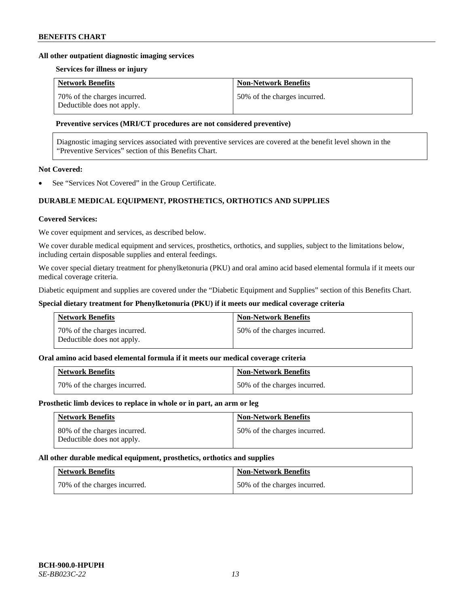### **All other outpatient diagnostic imaging services**

### **Services for illness or injury**

| <b>Network Benefits</b>                                    | <b>Non-Network Benefits</b>  |
|------------------------------------------------------------|------------------------------|
| 70% of the charges incurred.<br>Deductible does not apply. | 50% of the charges incurred. |

### **Preventive services (MRI/CT procedures are not considered preventive)**

Diagnostic imaging services associated with preventive services are covered at the benefit level shown in the "Preventive Services" section of this Benefits Chart.

# **Not Covered:**

See "Services Not Covered" in the Group Certificate.

# **DURABLE MEDICAL EQUIPMENT, PROSTHETICS, ORTHOTICS AND SUPPLIES**

#### **Covered Services:**

We cover equipment and services, as described below.

We cover durable medical equipment and services, prosthetics, orthotics, and supplies, subject to the limitations below, including certain disposable supplies and enteral feedings.

We cover special dietary treatment for phenylketonuria (PKU) and oral amino acid based elemental formula if it meets our medical coverage criteria.

Diabetic equipment and supplies are covered under the "Diabetic Equipment and Supplies" section of this Benefits Chart.

### **Special dietary treatment for Phenylketonuria (PKU) if it meets our medical coverage criteria**

| <b>Network Benefits</b>                                    | <b>Non-Network Benefits</b>  |
|------------------------------------------------------------|------------------------------|
| 70% of the charges incurred.<br>Deductible does not apply. | 50% of the charges incurred. |

### **Oral amino acid based elemental formula if it meets our medical coverage criteria**

| <b>Network Benefits</b>      | <b>Non-Network Benefits</b>  |
|------------------------------|------------------------------|
| 70% of the charges incurred. | 50% of the charges incurred. |

#### **Prosthetic limb devices to replace in whole or in part, an arm or leg**

| <b>Network Benefits</b>                                    | <b>Non-Network Benefits</b>  |
|------------------------------------------------------------|------------------------------|
| 80% of the charges incurred.<br>Deductible does not apply. | 50% of the charges incurred. |

#### **All other durable medical equipment, prosthetics, orthotics and supplies**

| <b>Network Benefits</b>      | <b>Non-Network Benefits</b>  |
|------------------------------|------------------------------|
| 70% of the charges incurred. | 50% of the charges incurred. |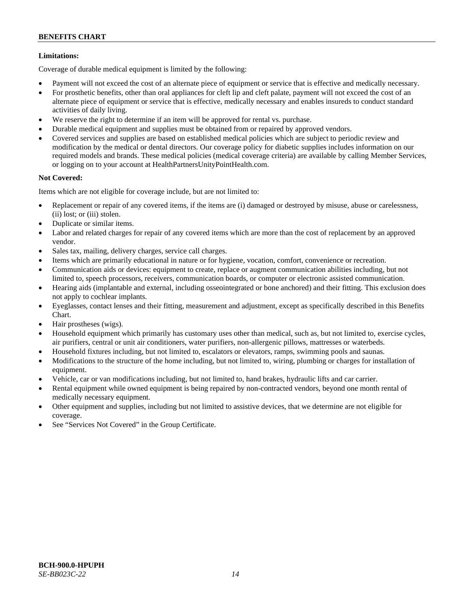# **Limitations:**

Coverage of durable medical equipment is limited by the following:

- Payment will not exceed the cost of an alternate piece of equipment or service that is effective and medically necessary.
- For prosthetic benefits, other than oral appliances for cleft lip and cleft palate, payment will not exceed the cost of an alternate piece of equipment or service that is effective, medically necessary and enables insureds to conduct standard activities of daily living.
- We reserve the right to determine if an item will be approved for rental vs. purchase.
- Durable medical equipment and supplies must be obtained from or repaired by approved vendors.
- Covered services and supplies are based on established medical policies which are subject to periodic review and modification by the medical or dental directors. Our coverage policy for diabetic supplies includes information on our required models and brands. These medical policies (medical coverage criteria) are available by calling Member Services, or logging on to your account at [HealthPartnersUnityPointHealth.com.](https://www.healthpartnersunitypointhealth.com/)

# **Not Covered:**

Items which are not eligible for coverage include, but are not limited to:

- Replacement or repair of any covered items, if the items are (i) damaged or destroyed by misuse, abuse or carelessness, (ii) lost; or (iii) stolen.
- Duplicate or similar items.
- Labor and related charges for repair of any covered items which are more than the cost of replacement by an approved vendor.
- Sales tax, mailing, delivery charges, service call charges.
- Items which are primarily educational in nature or for hygiene, vocation, comfort, convenience or recreation.
- Communication aids or devices: equipment to create, replace or augment communication abilities including, but not limited to, speech processors, receivers, communication boards, or computer or electronic assisted communication.
- Hearing aids (implantable and external, including osseointegrated or bone anchored) and their fitting. This exclusion does not apply to cochlear implants.
- Eyeglasses, contact lenses and their fitting, measurement and adjustment, except as specifically described in this Benefits Chart.
- Hair prostheses (wigs).
- Household equipment which primarily has customary uses other than medical, such as, but not limited to, exercise cycles, air purifiers, central or unit air conditioners, water purifiers, non-allergenic pillows, mattresses or waterbeds.
- Household fixtures including, but not limited to, escalators or elevators, ramps, swimming pools and saunas.
- Modifications to the structure of the home including, but not limited to, wiring, plumbing or charges for installation of equipment.
- Vehicle, car or van modifications including, but not limited to, hand brakes, hydraulic lifts and car carrier.
- Rental equipment while owned equipment is being repaired by non-contracted vendors, beyond one month rental of medically necessary equipment.
- Other equipment and supplies, including but not limited to assistive devices, that we determine are not eligible for coverage.
- See "Services Not Covered" in the Group Certificate.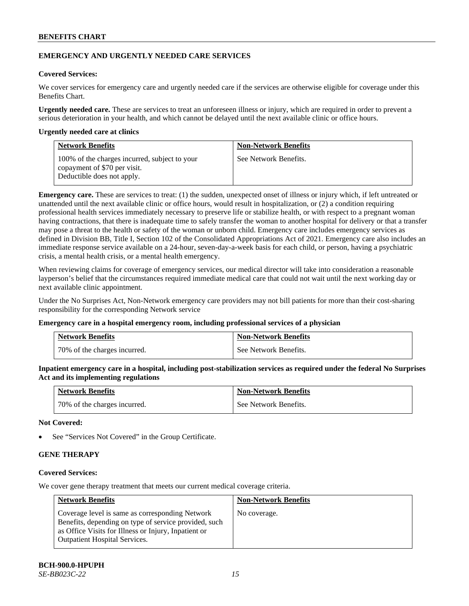# **EMERGENCY AND URGENTLY NEEDED CARE SERVICES**

# **Covered Services:**

We cover services for emergency care and urgently needed care if the services are otherwise eligible for coverage under this Benefits Chart.

**Urgently needed care.** These are services to treat an unforeseen illness or injury, which are required in order to prevent a serious deterioration in your health, and which cannot be delayed until the next available clinic or office hours.

### **Urgently needed care at clinics**

| <b>Network Benefits</b>                                                                                     | <b>Non-Network Benefits</b> |
|-------------------------------------------------------------------------------------------------------------|-----------------------------|
| 100% of the charges incurred, subject to your<br>copayment of \$70 per visit.<br>Deductible does not apply. | See Network Benefits.       |

**Emergency care.** These are services to treat: (1) the sudden, unexpected onset of illness or injury which, if left untreated or unattended until the next available clinic or office hours, would result in hospitalization, or (2) a condition requiring professional health services immediately necessary to preserve life or stabilize health, or with respect to a pregnant woman having contractions, that there is inadequate time to safely transfer the woman to another hospital for delivery or that a transfer may pose a threat to the health or safety of the woman or unborn child. Emergency care includes emergency services as defined in Division BB, Title I, Section 102 of the Consolidated Appropriations Act of 2021. Emergency care also includes an immediate response service available on a 24-hour, seven-day-a-week basis for each child, or person, having a psychiatric crisis, a mental health crisis, or a mental health emergency.

When reviewing claims for coverage of emergency services, our medical director will take into consideration a reasonable layperson's belief that the circumstances required immediate medical care that could not wait until the next working day or next available clinic appointment.

Under the No Surprises Act, Non-Network emergency care providers may not bill patients for more than their cost-sharing responsibility for the corresponding Network service

#### **Emergency care in a hospital emergency room, including professional services of a physician**

| <b>Network Benefits</b>      | <b>Non-Network Benefits</b> |
|------------------------------|-----------------------------|
| 70% of the charges incurred. | See Network Benefits.       |

**Inpatient emergency care in a hospital, including post-stabilization services as required under the federal No Surprises Act and its implementing regulations**

| <b>Network Benefits</b>      | <b>Non-Network Benefits</b> |
|------------------------------|-----------------------------|
| 70% of the charges incurred. | See Network Benefits.       |

### **Not Covered:**

See "Services Not Covered" in the Group Certificate.

# **GENE THERAPY**

# **Covered Services:**

We cover gene therapy treatment that meets our current medical coverage criteria.

| <b>Network Benefits</b>                                                                                                                                                                                  | <b>Non-Network Benefits</b> |
|----------------------------------------------------------------------------------------------------------------------------------------------------------------------------------------------------------|-----------------------------|
| Coverage level is same as corresponding Network<br>Benefits, depending on type of service provided, such<br>as Office Visits for Illness or Injury, Inpatient or<br><b>Outpatient Hospital Services.</b> | No coverage.                |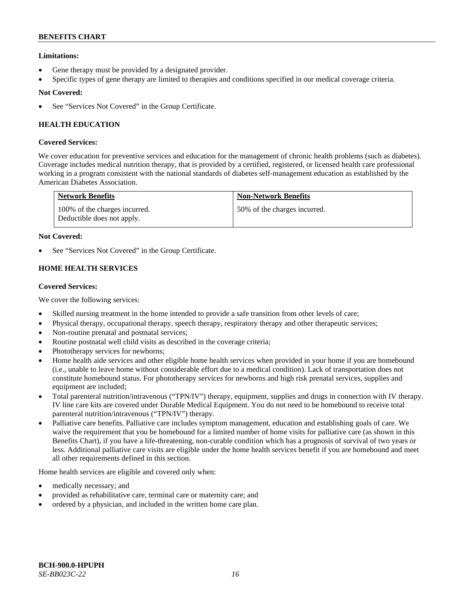# **Limitations:**

- Gene therapy must be provided by a designated provider.
- Specific types of gene therapy are limited to therapies and conditions specified in our medical coverage criteria.

# **Not Covered:**

See "Services Not Covered" in the Group Certificate.

# **HEALTH EDUCATION**

# **Covered Services:**

We cover education for preventive services and education for the management of chronic health problems (such as diabetes). Coverage includes medical nutrition therapy, that is provided by a certified, registered, or licensed health care professional working in a program consistent with the national standards of diabetes self-management education as established by the American Diabetes Association.

| <b>Network Benefits</b>                                     | <b>Non-Network Benefits</b>  |
|-------------------------------------------------------------|------------------------------|
| 100% of the charges incurred.<br>Deductible does not apply. | 50% of the charges incurred. |

# **Not Covered:**

See "Services Not Covered" in the Group Certificate.

# **HOME HEALTH SERVICES**

### **Covered Services:**

We cover the following services:

- Skilled nursing treatment in the home intended to provide a safe transition from other levels of care;
- Physical therapy, occupational therapy, speech therapy, respiratory therapy and other therapeutic services;
- Non-routine prenatal and postnatal services;
- Routine postnatal well child visits as described in the coverage criteria;
- Phototherapy services for newborns;
- Home health aide services and other eligible home health services when provided in your home if you are homebound (i.e., unable to leave home without considerable effort due to a medical condition). Lack of transportation does not constitute homebound status. For phototherapy services for newborns and high risk prenatal services, supplies and equipment are included;
- Total parenteral nutrition/intravenous ("TPN/IV") therapy, equipment, supplies and drugs in connection with IV therapy. IV line care kits are covered under Durable Medical Equipment. You do not need to be homebound to receive total parenteral nutrition/intravenous ("TPN/IV") therapy.
- Palliative care benefits. Palliative care includes symptom management, education and establishing goals of care. We waive the requirement that you be homebound for a limited number of home visits for palliative care (as shown in this Benefits Chart), if you have a life-threatening, non-curable condition which has a prognosis of survival of two years or less. Additional palliative care visits are eligible under the home health services benefit if you are homebound and meet all other requirements defined in this section.

Home health services are eligible and covered only when:

- medically necessary; and
- provided as rehabilitative care, terminal care or maternity care; and
- ordered by a physician, and included in the written home care plan.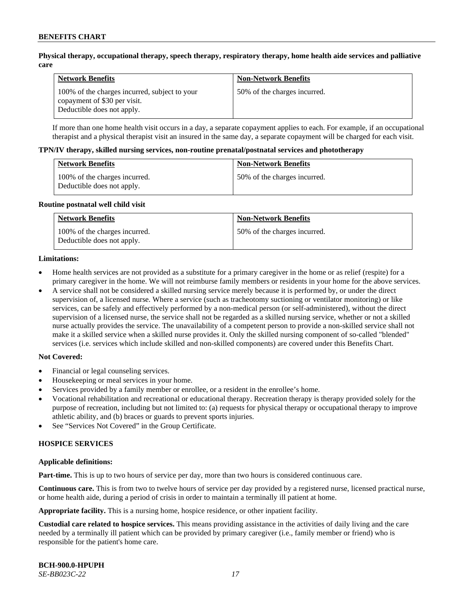### **Physical therapy, occupational therapy, speech therapy, respiratory therapy, home health aide services and palliative care**

| <b>Network Benefits</b>                                                                                     | <b>Non-Network Benefits</b>  |
|-------------------------------------------------------------------------------------------------------------|------------------------------|
| 100% of the charges incurred, subject to your<br>copayment of \$30 per visit.<br>Deductible does not apply. | 50% of the charges incurred. |

If more than one home health visit occurs in a day, a separate copayment applies to each. For example, if an occupational therapist and a physical therapist visit an insured in the same day, a separate copayment will be charged for each visit.

#### **TPN/IV therapy, skilled nursing services, non-routine prenatal/postnatal services and phototherapy**

| <b>Network Benefits</b>                                     | <b>Non-Network Benefits</b>  |
|-------------------------------------------------------------|------------------------------|
| 100% of the charges incurred.<br>Deductible does not apply. | 50% of the charges incurred. |

#### **Routine postnatal well child visit**

| <b>Network Benefits</b>                                     | <b>Non-Network Benefits</b>  |
|-------------------------------------------------------------|------------------------------|
| 100% of the charges incurred.<br>Deductible does not apply. | 50% of the charges incurred. |

#### **Limitations:**

- Home health services are not provided as a substitute for a primary caregiver in the home or as relief (respite) for a primary caregiver in the home. We will not reimburse family members or residents in your home for the above services.
- A service shall not be considered a skilled nursing service merely because it is performed by, or under the direct supervision of, a licensed nurse. Where a service (such as tracheotomy suctioning or ventilator monitoring) or like services, can be safely and effectively performed by a non-medical person (or self-administered), without the direct supervision of a licensed nurse, the service shall not be regarded as a skilled nursing service, whether or not a skilled nurse actually provides the service. The unavailability of a competent person to provide a non-skilled service shall not make it a skilled service when a skilled nurse provides it. Only the skilled nursing component of so-called "blended" services (i.e. services which include skilled and non-skilled components) are covered under this Benefits Chart.

#### **Not Covered:**

- Financial or legal counseling services.
- Housekeeping or meal services in your home.
- Services provided by a family member or enrollee, or a resident in the enrollee's home.
- Vocational rehabilitation and recreational or educational therapy. Recreation therapy is therapy provided solely for the purpose of recreation, including but not limited to: (a) requests for physical therapy or occupational therapy to improve athletic ability, and (b) braces or guards to prevent sports injuries.
- See "Services Not Covered" in the Group Certificate.

# **HOSPICE SERVICES**

#### **Applicable definitions:**

**Part-time.** This is up to two hours of service per day, more than two hours is considered continuous care.

**Continuous care.** This is from two to twelve hours of service per day provided by a registered nurse, licensed practical nurse, or home health aide, during a period of crisis in order to maintain a terminally ill patient at home.

**Appropriate facility.** This is a nursing home, hospice residence, or other inpatient facility.

**Custodial care related to hospice services.** This means providing assistance in the activities of daily living and the care needed by a terminally ill patient which can be provided by primary caregiver (i.e., family member or friend) who is responsible for the patient's home care.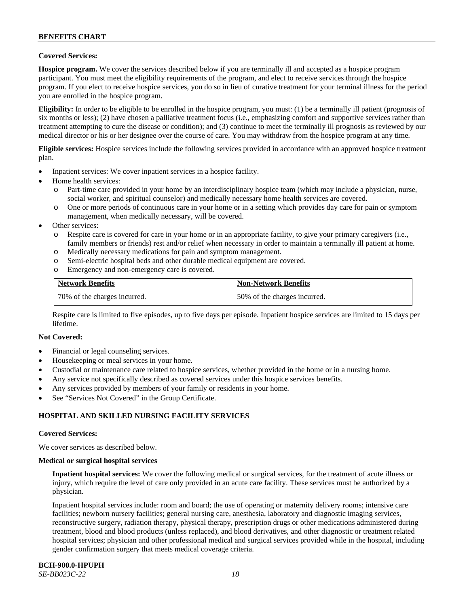# **Covered Services:**

**Hospice program.** We cover the services described below if you are terminally ill and accepted as a hospice program participant. You must meet the eligibility requirements of the program, and elect to receive services through the hospice program. If you elect to receive hospice services, you do so in lieu of curative treatment for your terminal illness for the period you are enrolled in the hospice program.

**Eligibility:** In order to be eligible to be enrolled in the hospice program, you must: (1) be a terminally ill patient (prognosis of six months or less); (2) have chosen a palliative treatment focus (i.e., emphasizing comfort and supportive services rather than treatment attempting to cure the disease or condition); and (3) continue to meet the terminally ill prognosis as reviewed by our medical director or his or her designee over the course of care. You may withdraw from the hospice program at any time.

**Eligible services:** Hospice services include the following services provided in accordance with an approved hospice treatment plan.

- Inpatient services: We cover inpatient services in a hospice facility.
- Home health services:
	- o Part-time care provided in your home by an interdisciplinary hospice team (which may include a physician, nurse, social worker, and spiritual counselor) and medically necessary home health services are covered.
	- One or more periods of continuous care in your home or in a setting which provides day care for pain or symptom management, when medically necessary, will be covered.
- Other services:
	- o Respite care is covered for care in your home or in an appropriate facility, to give your primary caregivers (i.e., family members or friends) rest and/or relief when necessary in order to maintain a terminally ill patient at home.
	- o Medically necessary medications for pain and symptom management.
	- o Semi-electric hospital beds and other durable medical equipment are covered.
	- o Emergency and non-emergency care is covered.

| <b>Network Benefits</b>      | <b>Non-Network Benefits</b>  |
|------------------------------|------------------------------|
| 70% of the charges incurred. | 50% of the charges incurred. |

Respite care is limited to five episodes, up to five days per episode. Inpatient hospice services are limited to 15 days per lifetime.

#### **Not Covered:**

- Financial or legal counseling services.
- Housekeeping or meal services in your home.
- Custodial or maintenance care related to hospice services, whether provided in the home or in a nursing home.
- Any service not specifically described as covered services under this hospice services benefits.
- Any services provided by members of your family or residents in your home.
- See "Services Not Covered" in the Group Certificate.

# **HOSPITAL AND SKILLED NURSING FACILITY SERVICES**

#### **Covered Services:**

We cover services as described below.

#### **Medical or surgical hospital services**

**Inpatient hospital services:** We cover the following medical or surgical services, for the treatment of acute illness or injury, which require the level of care only provided in an acute care facility. These services must be authorized by a physician.

Inpatient hospital services include: room and board; the use of operating or maternity delivery rooms; intensive care facilities; newborn nursery facilities; general nursing care, anesthesia, laboratory and diagnostic imaging services, reconstructive surgery, radiation therapy, physical therapy, prescription drugs or other medications administered during treatment, blood and blood products (unless replaced), and blood derivatives, and other diagnostic or treatment related hospital services; physician and other professional medical and surgical services provided while in the hospital, including gender confirmation surgery that meets medical coverage criteria.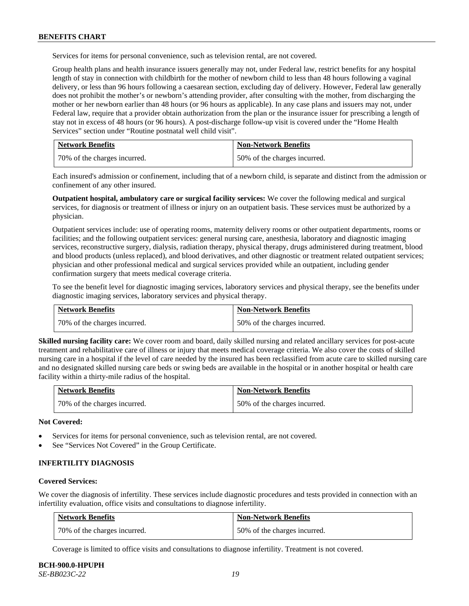Services for items for personal convenience, such as television rental, are not covered.

Group health plans and health insurance issuers generally may not, under Federal law, restrict benefits for any hospital length of stay in connection with childbirth for the mother of newborn child to less than 48 hours following a vaginal delivery, or less than 96 hours following a caesarean section, excluding day of delivery. However, Federal law generally does not prohibit the mother's or newborn's attending provider, after consulting with the mother, from discharging the mother or her newborn earlier than 48 hours (or 96 hours as applicable). In any case plans and issuers may not, under Federal law, require that a provider obtain authorization from the plan or the insurance issuer for prescribing a length of stay not in excess of 48 hours (or 96 hours). A post-discharge follow-up visit is covered under the "Home Health Services" section under "Routine postnatal well child visit".

| <b>Network Benefits</b>      | <b>Non-Network Benefits</b>  |
|------------------------------|------------------------------|
| 70% of the charges incurred. | 50% of the charges incurred. |

Each insured's admission or confinement, including that of a newborn child, is separate and distinct from the admission or confinement of any other insured.

**Outpatient hospital, ambulatory care or surgical facility services:** We cover the following medical and surgical services, for diagnosis or treatment of illness or injury on an outpatient basis. These services must be authorized by a physician.

Outpatient services include: use of operating rooms, maternity delivery rooms or other outpatient departments, rooms or facilities; and the following outpatient services: general nursing care, anesthesia, laboratory and diagnostic imaging services, reconstructive surgery, dialysis, radiation therapy, physical therapy, drugs administered during treatment, blood and blood products (unless replaced), and blood derivatives, and other diagnostic or treatment related outpatient services; physician and other professional medical and surgical services provided while an outpatient, including gender confirmation surgery that meets medical coverage criteria.

To see the benefit level for diagnostic imaging services, laboratory services and physical therapy, see the benefits under diagnostic imaging services, laboratory services and physical therapy.

| <b>Network Benefits</b>      | <b>Non-Network Benefits</b>  |
|------------------------------|------------------------------|
| 70% of the charges incurred. | 50% of the charges incurred. |

**Skilled nursing facility care:** We cover room and board, daily skilled nursing and related ancillary services for post-acute treatment and rehabilitative care of illness or injury that meets medical coverage criteria. We also cover the costs of skilled nursing care in a hospital if the level of care needed by the insured has been reclassified from acute care to skilled nursing care and no designated skilled nursing care beds or swing beds are available in the hospital or in another hospital or health care facility within a thirty-mile radius of the hospital.

| <b>Network Benefits</b>      | <b>Non-Network Benefits</b>  |
|------------------------------|------------------------------|
| 70% of the charges incurred. | 50% of the charges incurred. |

**Not Covered:**

- Services for items for personal convenience, such as television rental, are not covered.
- See "Services Not Covered" in the Group Certificate.

### **INFERTILITY DIAGNOSIS**

#### **Covered Services:**

We cover the diagnosis of infertility. These services include diagnostic procedures and tests provided in connection with an infertility evaluation, office visits and consultations to diagnose infertility.

| <b>Network Benefits</b>      | <b>Non-Network Benefits</b>  |
|------------------------------|------------------------------|
| 70% of the charges incurred. | 50% of the charges incurred. |

Coverage is limited to office visits and consultations to diagnose infertility. Treatment is not covered.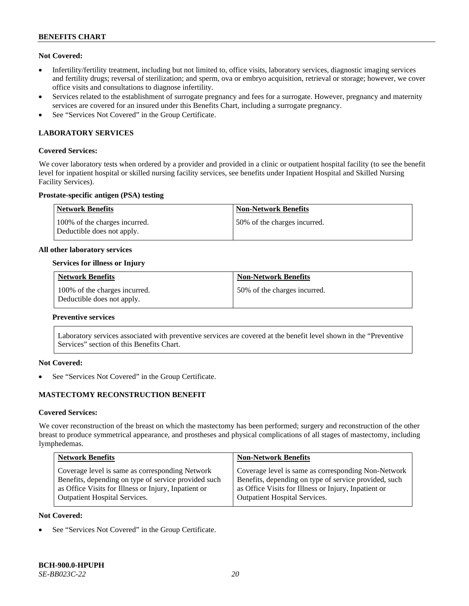### **Not Covered:**

- Infertility/fertility treatment, including but not limited to, office visits, laboratory services, diagnostic imaging services and fertility drugs; reversal of sterilization; and sperm, ova or embryo acquisition, retrieval or storage; however, we cover office visits and consultations to diagnose infertility.
- Services related to the establishment of surrogate pregnancy and fees for a surrogate. However, pregnancy and maternity services are covered for an insured under this Benefits Chart, including a surrogate pregnancy.
- See "Services Not Covered" in the Group Certificate.

# **LABORATORY SERVICES**

#### **Covered Services:**

We cover laboratory tests when ordered by a provider and provided in a clinic or outpatient hospital facility (to see the benefit level for inpatient hospital or skilled nursing facility services, see benefits under Inpatient Hospital and Skilled Nursing Facility Services).

### **Prostate-specific antigen (PSA) testing**

| <b>Network Benefits</b>                                     | <b>Non-Network Benefits</b>  |
|-------------------------------------------------------------|------------------------------|
| 100% of the charges incurred.<br>Deductible does not apply. | 50% of the charges incurred. |

#### **All other laboratory services**

### **Services for illness or Injury**

| <b>Network Benefits</b>                                     | <b>Non-Network Benefits</b>  |
|-------------------------------------------------------------|------------------------------|
| 100% of the charges incurred.<br>Deductible does not apply. | 50% of the charges incurred. |

#### **Preventive services**

Laboratory services associated with preventive services are covered at the benefit level shown in the "Preventive Services" section of this Benefits Chart.

# **Not Covered:**

See "Services Not Covered" in the Group Certificate.

# **MASTECTOMY RECONSTRUCTION BENEFIT**

#### **Covered Services:**

We cover reconstruction of the breast on which the mastectomy has been performed; surgery and reconstruction of the other breast to produce symmetrical appearance, and prostheses and physical complications of all stages of mastectomy, including lymphedemas.

| <b>Non-Network Benefits</b>                                                                                                                                                                                  |
|--------------------------------------------------------------------------------------------------------------------------------------------------------------------------------------------------------------|
| Coverage level is same as corresponding Non-Network<br>Benefits, depending on type of service provided, such<br>as Office Visits for Illness or Injury, Inpatient or<br><b>Outpatient Hospital Services.</b> |
|                                                                                                                                                                                                              |

#### **Not Covered:**

See "Services Not Covered" in the Group Certificate.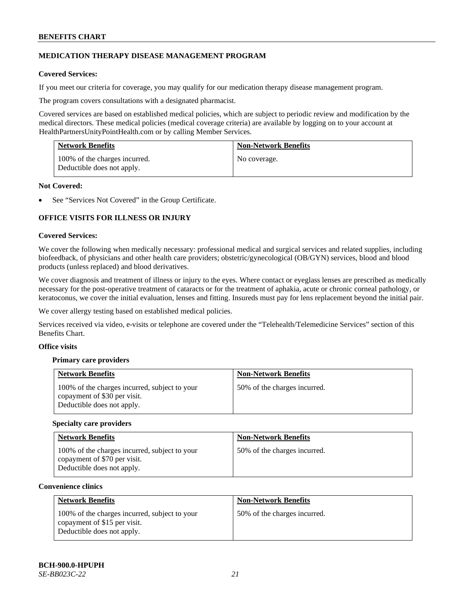# **MEDICATION THERAPY DISEASE MANAGEMENT PROGRAM**

# **Covered Services:**

If you meet our criteria for coverage, you may qualify for our medication therapy disease management program.

The program covers consultations with a designated pharmacist.

Covered services are based on established medical policies, which are subject to periodic review and modification by the medical directors. These medical policies (medical coverage criteria) are available by logging on to your account at [HealthPartnersUnityPointHealth.com](https://www.healthpartnersunitypointhealth.com/) or by calling Member Services.

| <b>Network Benefits</b>                                     | <b>Non-Network Benefits</b> |
|-------------------------------------------------------------|-----------------------------|
| 100% of the charges incurred.<br>Deductible does not apply. | No coverage.                |

### **Not Covered:**

See "Services Not Covered" in the Group Certificate.

# **OFFICE VISITS FOR ILLNESS OR INJURY**

### **Covered Services:**

We cover the following when medically necessary: professional medical and surgical services and related supplies, including biofeedback, of physicians and other health care providers; obstetric/gynecological (OB/GYN) services, blood and blood products (unless replaced) and blood derivatives.

We cover diagnosis and treatment of illness or injury to the eyes. Where contact or eyeglass lenses are prescribed as medically necessary for the post-operative treatment of cataracts or for the treatment of aphakia, acute or chronic corneal pathology, or keratoconus, we cover the initial evaluation, lenses and fitting. Insureds must pay for lens replacement beyond the initial pair.

We cover allergy testing based on established medical policies.

Services received via video, e-visits or telephone are covered under the "Telehealth/Telemedicine Services" section of this Benefits Chart.

# **Office visits**

# **Primary care providers**

| <b>Network Benefits</b>                                                                                     | <b>Non-Network Benefits</b>  |
|-------------------------------------------------------------------------------------------------------------|------------------------------|
| 100% of the charges incurred, subject to your<br>copayment of \$30 per visit.<br>Deductible does not apply. | 50% of the charges incurred. |

#### **Specialty care providers**

| <b>Network Benefits</b>                                                                                     | <b>Non-Network Benefits</b>  |
|-------------------------------------------------------------------------------------------------------------|------------------------------|
| 100% of the charges incurred, subject to your<br>copayment of \$70 per visit.<br>Deductible does not apply. | 50% of the charges incurred. |

#### **Convenience clinics**

| <b>Network Benefits</b>                                                                                     | <b>Non-Network Benefits</b>  |
|-------------------------------------------------------------------------------------------------------------|------------------------------|
| 100% of the charges incurred, subject to your<br>copayment of \$15 per visit.<br>Deductible does not apply. | 50% of the charges incurred. |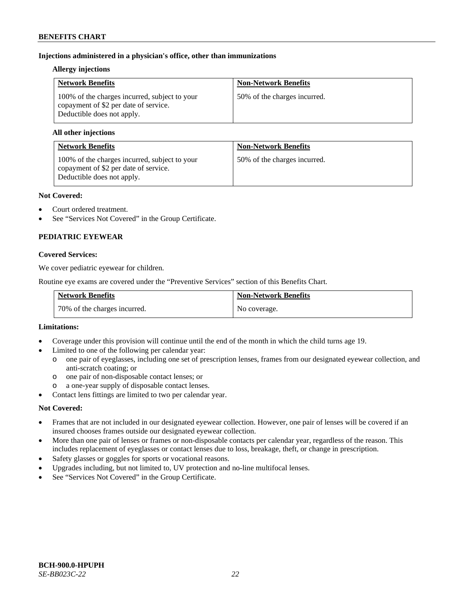# **Injections administered in a physician's office, other than immunizations**

### **Allergy injections**

| <b>Network Benefits</b>                                                                                              | <b>Non-Network Benefits</b>  |
|----------------------------------------------------------------------------------------------------------------------|------------------------------|
| 100% of the charges incurred, subject to your<br>copayment of \$2 per date of service.<br>Deductible does not apply. | 50% of the charges incurred. |

### **All other injections**

| <b>Network Benefits</b>                                                                                              | <b>Non-Network Benefits</b>  |
|----------------------------------------------------------------------------------------------------------------------|------------------------------|
| 100% of the charges incurred, subject to your<br>copayment of \$2 per date of service.<br>Deductible does not apply. | 50% of the charges incurred. |

### **Not Covered:**

- Court ordered treatment.
- See "Services Not Covered" in the Group Certificate.

# **PEDIATRIC EYEWEAR**

### **Covered Services:**

We cover pediatric eyewear for children.

Routine eye exams are covered under the "Preventive Services" section of this Benefits Chart.

| <b>Network Benefits</b>      | <b>Non-Network Benefits</b> |
|------------------------------|-----------------------------|
| 70% of the charges incurred. | No coverage.                |

#### **Limitations:**

- Coverage under this provision will continue until the end of the month in which the child turns age 19.
- Limited to one of the following per calendar year:
	- o one pair of eyeglasses, including one set of prescription lenses, frames from our designated eyewear collection, and anti-scratch coating; or
	- o one pair of non-disposable contact lenses; or
	- a one-year supply of disposable contact lenses.
- Contact lens fittings are limited to two per calendar year.

# **Not Covered:**

- Frames that are not included in our designated eyewear collection. However, one pair of lenses will be covered if an insured chooses frames outside our designated eyewear collection.
- More than one pair of lenses or frames or non-disposable contacts per calendar year, regardless of the reason. This includes replacement of eyeglasses or contact lenses due to loss, breakage, theft, or change in prescription.
- Safety glasses or goggles for sports or vocational reasons.
- Upgrades including, but not limited to, UV protection and no-line multifocal lenses.
- See "Services Not Covered" in the Group Certificate.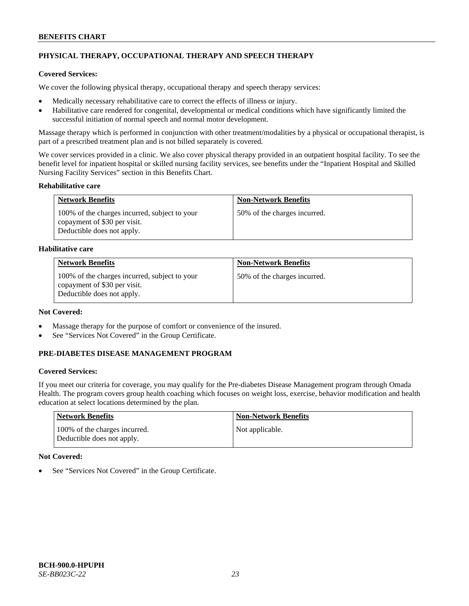# **PHYSICAL THERAPY, OCCUPATIONAL THERAPY AND SPEECH THERAPY**

# **Covered Services:**

We cover the following physical therapy, occupational therapy and speech therapy services:

- Medically necessary rehabilitative care to correct the effects of illness or injury.
- Habilitative care rendered for congenital, developmental or medical conditions which have significantly limited the successful initiation of normal speech and normal motor development.

Massage therapy which is performed in conjunction with other treatment/modalities by a physical or occupational therapist, is part of a prescribed treatment plan and is not billed separately is covered.

We cover services provided in a clinic. We also cover physical therapy provided in an outpatient hospital facility. To see the benefit level for inpatient hospital or skilled nursing facility services, see benefits under the "Inpatient Hospital and Skilled Nursing Facility Services" section in this Benefits Chart.

# **Rehabilitative care**

| <b>Network Benefits</b>                                                                                     | <b>Non-Network Benefits</b>  |
|-------------------------------------------------------------------------------------------------------------|------------------------------|
| 100% of the charges incurred, subject to your<br>copayment of \$30 per visit.<br>Deductible does not apply. | 50% of the charges incurred. |

# **Habilitative care**

| <b>Network Benefits</b>                                                                                     | <b>Non-Network Benefits</b>  |
|-------------------------------------------------------------------------------------------------------------|------------------------------|
| 100% of the charges incurred, subject to your<br>copayment of \$30 per visit.<br>Deductible does not apply. | 50% of the charges incurred. |

# **Not Covered:**

- Massage therapy for the purpose of comfort or convenience of the insured.
- See "Services Not Covered" in the Group Certificate.

# **PRE-DIABETES DISEASE MANAGEMENT PROGRAM**

# **Covered Services:**

If you meet our criteria for coverage, you may qualify for the Pre-diabetes Disease Management program through Omada Health. The program covers group health coaching which focuses on weight loss, exercise, behavior modification and health education at select locations determined by the plan.

| Network Benefits                                            | <b>Non-Network Benefits</b> |
|-------------------------------------------------------------|-----------------------------|
| 100% of the charges incurred.<br>Deductible does not apply. | Not applicable.             |

# **Not Covered:**

See "Services Not Covered" in the Group Certificate.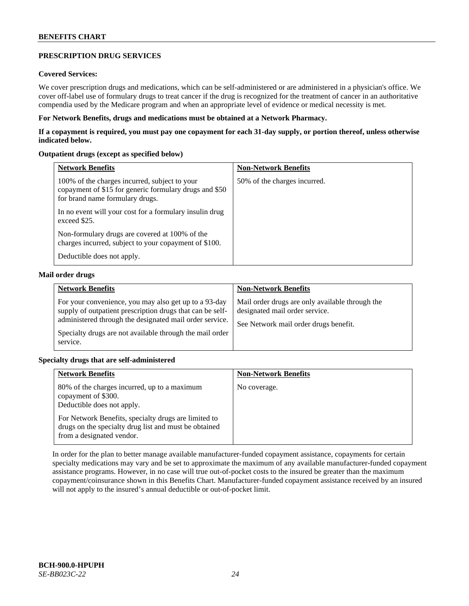# **PRESCRIPTION DRUG SERVICES**

### **Covered Services:**

We cover prescription drugs and medications, which can be self-administered or are administered in a physician's office. We cover off-label use of formulary drugs to treat cancer if the drug is recognized for the treatment of cancer in an authoritative compendia used by the Medicare program and when an appropriate level of evidence or medical necessity is met.

### **For Network Benefits, drugs and medications must be obtained at a Network Pharmacy.**

**If a copayment is required, you must pay one copayment for each 31-day supply, or portion thereof, unless otherwise indicated below.**

### **Outpatient drugs (except as specified below)**

| <b>Network Benefits</b>                                                                                                                    | <b>Non-Network Benefits</b>  |
|--------------------------------------------------------------------------------------------------------------------------------------------|------------------------------|
| 100% of the charges incurred, subject to your<br>copayment of \$15 for generic formulary drugs and \$50<br>for brand name formulary drugs. | 50% of the charges incurred. |
| In no event will your cost for a formulary insulin drug<br>exceed \$25.                                                                    |                              |
| Non-formulary drugs are covered at 100% of the<br>charges incurred, subject to your copayment of \$100.                                    |                              |
| Deductible does not apply.                                                                                                                 |                              |

### **Mail order drugs**

| <b>Network Benefits</b>                                                                                                                                                                                                                               | <b>Non-Network Benefits</b>                                                                                                |
|-------------------------------------------------------------------------------------------------------------------------------------------------------------------------------------------------------------------------------------------------------|----------------------------------------------------------------------------------------------------------------------------|
| For your convenience, you may also get up to a 93-day<br>supply of outpatient prescription drugs that can be self-<br>administered through the designated mail order service.<br>Specialty drugs are not available through the mail order<br>service. | Mail order drugs are only available through the<br>designated mail order service.<br>See Network mail order drugs benefit. |

# **Specialty drugs that are self-administered**

| <b>Network Benefits</b>                                                                                                                    | <b>Non-Network Benefits</b> |
|--------------------------------------------------------------------------------------------------------------------------------------------|-----------------------------|
| 80% of the charges incurred, up to a maximum<br>copayment of \$300.<br>Deductible does not apply.                                          | No coverage.                |
| For Network Benefits, specialty drugs are limited to<br>drugs on the specialty drug list and must be obtained<br>from a designated vendor. |                             |

In order for the plan to better manage available manufacturer-funded copayment assistance, copayments for certain specialty medications may vary and be set to approximate the maximum of any available manufacturer-funded copayment assistance programs. However, in no case will true out-of-pocket costs to the insured be greater than the maximum copayment/coinsurance shown in this Benefits Chart. Manufacturer-funded copayment assistance received by an insured will not apply to the insured's annual deductible or out-of-pocket limit.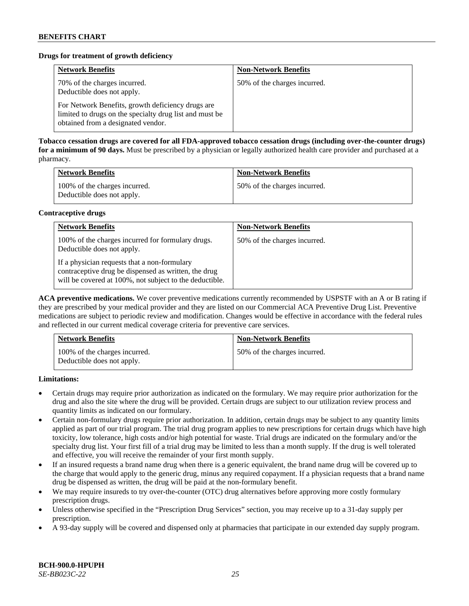# **Drugs for treatment of growth deficiency**

| <b>Network Benefits</b>                                                                                                                            | <b>Non-Network Benefits</b>  |
|----------------------------------------------------------------------------------------------------------------------------------------------------|------------------------------|
| 70% of the charges incurred.<br>Deductible does not apply.                                                                                         | 50% of the charges incurred. |
| For Network Benefits, growth deficiency drugs are<br>limited to drugs on the specialty drug list and must be<br>obtained from a designated vendor. |                              |

**Tobacco cessation drugs are covered for all FDA-approved tobacco cessation drugs (including over-the-counter drugs) for a minimum of 90 days.** Must be prescribed by a physician or legally authorized health care provider and purchased at a pharmacy.

| <b>Network Benefits</b>                                     | <b>Non-Network Benefits</b>  |
|-------------------------------------------------------------|------------------------------|
| 100% of the charges incurred.<br>Deductible does not apply. | 50% of the charges incurred. |

### **Contraceptive drugs**

| <b>Network Benefits</b>                                                                                                                                         | <b>Non-Network Benefits</b>  |
|-----------------------------------------------------------------------------------------------------------------------------------------------------------------|------------------------------|
| 100% of the charges incurred for formulary drugs.<br>Deductible does not apply.                                                                                 | 50% of the charges incurred. |
| If a physician requests that a non-formulary<br>contraceptive drug be dispensed as written, the drug<br>will be covered at 100%, not subject to the deductible. |                              |

**ACA preventive medications.** We cover preventive medications currently recommended by USPSTF with an A or B rating if they are prescribed by your medical provider and they are listed on our Commercial ACA Preventive Drug List. Preventive medications are subject to periodic review and modification. Changes would be effective in accordance with the federal rules and reflected in our current medical coverage criteria for preventive care services.

| <b>Network Benefits</b>                                     | <b>Non-Network Benefits</b>  |
|-------------------------------------------------------------|------------------------------|
| 100% of the charges incurred.<br>Deductible does not apply. | 50% of the charges incurred. |

**Limitations:**

- Certain drugs may require prior authorization as indicated on the formulary. We may require prior authorization for the drug and also the site where the drug will be provided. Certain drugs are subject to our utilization review process and quantity limits as indicated on our formulary.
- Certain non-formulary drugs require prior authorization. In addition, certain drugs may be subject to any quantity limits applied as part of our trial program. The trial drug program applies to new prescriptions for certain drugs which have high toxicity, low tolerance, high costs and/or high potential for waste. Trial drugs are indicated on the formulary and/or the specialty drug list. Your first fill of a trial drug may be limited to less than a month supply. If the drug is well tolerated and effective, you will receive the remainder of your first month supply.
- If an insured requests a brand name drug when there is a generic equivalent, the brand name drug will be covered up to the charge that would apply to the generic drug, minus any required copayment. If a physician requests that a brand name drug be dispensed as written, the drug will be paid at the non-formulary benefit.
- We may require insureds to try over-the-counter (OTC) drug alternatives before approving more costly formulary prescription drugs.
- Unless otherwise specified in the "Prescription Drug Services" section, you may receive up to a 31-day supply per prescription.
- A 93-day supply will be covered and dispensed only at pharmacies that participate in our extended day supply program.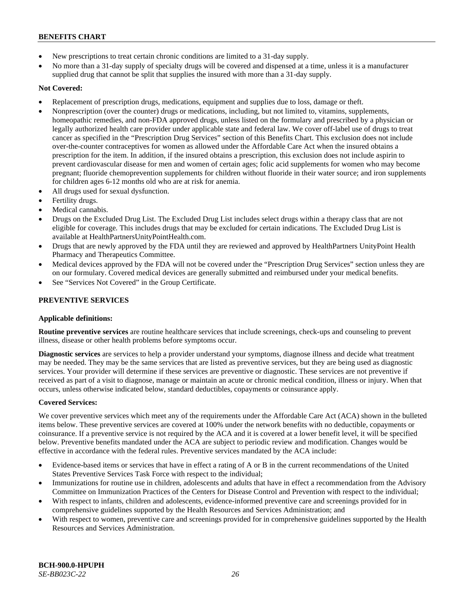- New prescriptions to treat certain chronic conditions are limited to a 31-day supply.
- No more than a 31-day supply of specialty drugs will be covered and dispensed at a time, unless it is a manufacturer supplied drug that cannot be split that supplies the insured with more than a 31-day supply.

# **Not Covered:**

- Replacement of prescription drugs, medications, equipment and supplies due to loss, damage or theft.
- Nonprescription (over the counter) drugs or medications, including, but not limited to, vitamins, supplements, homeopathic remedies, and non-FDA approved drugs, unless listed on the formulary and prescribed by a physician or legally authorized health care provider under applicable state and federal law. We cover off-label use of drugs to treat cancer as specified in the "Prescription Drug Services" section of this Benefits Chart. This exclusion does not include over-the-counter contraceptives for women as allowed under the Affordable Care Act when the insured obtains a prescription for the item. In addition, if the insured obtains a prescription, this exclusion does not include aspirin to prevent cardiovascular disease for men and women of certain ages; folic acid supplements for women who may become pregnant; fluoride chemoprevention supplements for children without fluoride in their water source; and iron supplements for children ages 6-12 months old who are at risk for anemia.
- All drugs used for sexual dysfunction.
- Fertility drugs.
- Medical cannabis.
- Drugs on the Excluded Drug List. The Excluded Drug List includes select drugs within a therapy class that are not eligible for coverage. This includes drugs that may be excluded for certain indications. The Excluded Drug List is available a[t HealthPartnersUnityPointHealth.com.](https://www.healthpartnersunitypointhealth.com/)
- Drugs that are newly approved by the FDA until they are reviewed and approved by HealthPartners UnityPoint Health Pharmacy and Therapeutics Committee.
- Medical devices approved by the FDA will not be covered under the "Prescription Drug Services" section unless they are on our formulary. Covered medical devices are generally submitted and reimbursed under your medical benefits.
- See "Services Not Covered" in the Group Certificate.

# **PREVENTIVE SERVICES**

# **Applicable definitions:**

**Routine preventive services** are routine healthcare services that include screenings, check-ups and counseling to prevent illness, disease or other health problems before symptoms occur.

**Diagnostic services** are services to help a provider understand your symptoms, diagnose illness and decide what treatment may be needed. They may be the same services that are listed as preventive services, but they are being used as diagnostic services. Your provider will determine if these services are preventive or diagnostic. These services are not preventive if received as part of a visit to diagnose, manage or maintain an acute or chronic medical condition, illness or injury. When that occurs, unless otherwise indicated below, standard deductibles, copayments or coinsurance apply.

# **Covered Services:**

We cover preventive services which meet any of the requirements under the Affordable Care Act (ACA) shown in the bulleted items below. These preventive services are covered at 100% under the network benefits with no deductible, copayments or coinsurance. If a preventive service is not required by the ACA and it is covered at a lower benefit level, it will be specified below. Preventive benefits mandated under the ACA are subject to periodic review and modification. Changes would be effective in accordance with the federal rules. Preventive services mandated by the ACA include:

- Evidence-based items or services that have in effect a rating of A or B in the current recommendations of the United States Preventive Services Task Force with respect to the individual;
- Immunizations for routine use in children, adolescents and adults that have in effect a recommendation from the Advisory Committee on Immunization Practices of the Centers for Disease Control and Prevention with respect to the individual;
- With respect to infants, children and adolescents, evidence-informed preventive care and screenings provided for in comprehensive guidelines supported by the Health Resources and Services Administration; and
- With respect to women, preventive care and screenings provided for in comprehensive guidelines supported by the Health Resources and Services Administration.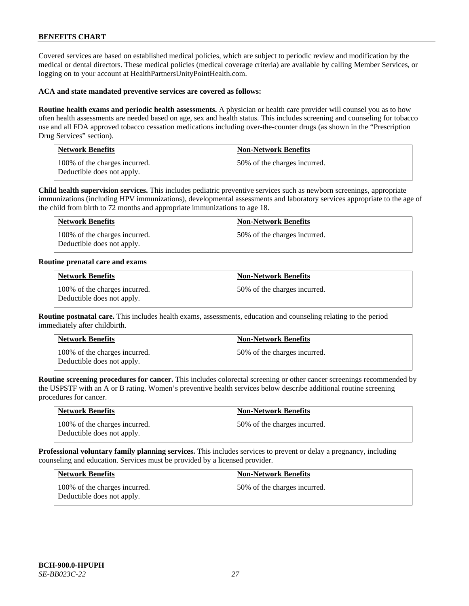Covered services are based on established medical policies, which are subject to periodic review and modification by the medical or dental directors. These medical policies (medical coverage criteria) are available by calling Member Services, or logging on to your account at [HealthPartnersUnityPointHealth.com.](https://www.healthpartnersunitypointhealth.com/)

### **ACA and state mandated preventive services are covered as follows:**

**Routine health exams and periodic health assessments.** A physician or health care provider will counsel you as to how often health assessments are needed based on age, sex and health status. This includes screening and counseling for tobacco use and all FDA approved tobacco cessation medications including over-the-counter drugs (as shown in the "Prescription Drug Services" section).

| <b>Network Benefits</b>                                     | <b>Non-Network Benefits</b>  |
|-------------------------------------------------------------|------------------------------|
| 100% of the charges incurred.<br>Deductible does not apply. | 50% of the charges incurred. |

**Child health supervision services.** This includes pediatric preventive services such as newborn screenings, appropriate immunizations (including HPV immunizations), developmental assessments and laboratory services appropriate to the age of the child from birth to 72 months and appropriate immunizations to age 18.

| <b>Network Benefits</b>                                     | <b>Non-Network Benefits</b>  |
|-------------------------------------------------------------|------------------------------|
| 100% of the charges incurred.<br>Deductible does not apply. | 50% of the charges incurred. |

#### **Routine prenatal care and exams**

| <b>Network Benefits</b>                                     | <b>Non-Network Benefits</b>  |
|-------------------------------------------------------------|------------------------------|
| 100% of the charges incurred.<br>Deductible does not apply. | 50% of the charges incurred. |

**Routine postnatal care.** This includes health exams, assessments, education and counseling relating to the period immediately after childbirth.

| <b>Network Benefits</b>                                     | <b>Non-Network Benefits</b>  |
|-------------------------------------------------------------|------------------------------|
| 100% of the charges incurred.<br>Deductible does not apply. | 50% of the charges incurred. |

**Routine screening procedures for cancer.** This includes colorectal screening or other cancer screenings recommended by the USPSTF with an A or B rating. Women's preventive health services below describe additional routine screening procedures for cancer.

| <b>Network Benefits</b>                                     | <b>Non-Network Benefits</b>  |
|-------------------------------------------------------------|------------------------------|
| 100% of the charges incurred.<br>Deductible does not apply. | 50% of the charges incurred. |

**Professional voluntary family planning services.** This includes services to prevent or delay a pregnancy, including counseling and education. Services must be provided by a licensed provider.

| <b>Network Benefits</b>                                     | <b>Non-Network Benefits</b>  |
|-------------------------------------------------------------|------------------------------|
| 100% of the charges incurred.<br>Deductible does not apply. | 50% of the charges incurred. |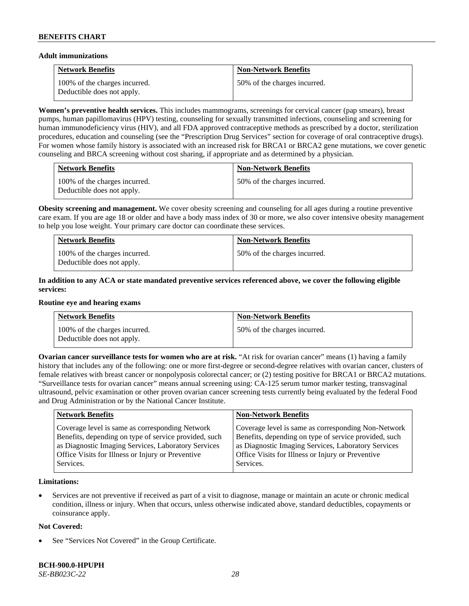### **Adult immunizations**

| <b>Network Benefits</b>                                     | <b>Non-Network Benefits</b>  |
|-------------------------------------------------------------|------------------------------|
| 100% of the charges incurred.<br>Deductible does not apply. | 50% of the charges incurred. |

**Women's preventive health services.** This includes mammograms, screenings for cervical cancer (pap smears), breast pumps, human papillomavirus (HPV) testing, counseling for sexually transmitted infections, counseling and screening for human immunodeficiency virus (HIV), and all FDA approved contraceptive methods as prescribed by a doctor, sterilization procedures, education and counseling (see the "Prescription Drug Services" section for coverage of oral contraceptive drugs). For women whose family history is associated with an increased risk for BRCA1 or BRCA2 gene mutations, we cover genetic counseling and BRCA screening without cost sharing, if appropriate and as determined by a physician.

| <b>Network Benefits</b>                                     | <b>Non-Network Benefits</b>  |
|-------------------------------------------------------------|------------------------------|
| 100% of the charges incurred.<br>Deductible does not apply. | 50% of the charges incurred. |

**Obesity screening and management.** We cover obesity screening and counseling for all ages during a routine preventive care exam. If you are age 18 or older and have a body mass index of 30 or more, we also cover intensive obesity management to help you lose weight. Your primary care doctor can coordinate these services.

| <b>Network Benefits</b>                                     | <b>Non-Network Benefits</b>  |
|-------------------------------------------------------------|------------------------------|
| 100% of the charges incurred.<br>Deductible does not apply. | 50% of the charges incurred. |

# **In addition to any ACA or state mandated preventive services referenced above, we cover the following eligible services:**

#### **Routine eye and hearing exams**

| <b>Network Benefits</b>                                     | <b>Non-Network Benefits</b>  |
|-------------------------------------------------------------|------------------------------|
| 100% of the charges incurred.<br>Deductible does not apply. | 50% of the charges incurred. |

**Ovarian cancer surveillance tests for women who are at risk. "At risk for ovarian cancer" means (1) having a family** history that includes any of the following: one or more first-degree or second-degree relatives with ovarian cancer, clusters of female relatives with breast cancer or nonpolyposis colorectal cancer; or (2) testing positive for BRCA1 or BRCA2 mutations. "Surveillance tests for ovarian cancer" means annual screening using: CA-125 serum tumor marker testing, transvaginal ultrasound, pelvic examination or other proven ovarian cancer screening tests currently being evaluated by the federal Food and Drug Administration or by the National Cancer Institute.

| <b>Network Benefits</b>                               | <b>Non-Network Benefits</b>                           |
|-------------------------------------------------------|-------------------------------------------------------|
| Coverage level is same as corresponding Network       | Coverage level is same as corresponding Non-Network   |
| Benefits, depending on type of service provided, such | Benefits, depending on type of service provided, such |
| as Diagnostic Imaging Services, Laboratory Services   | as Diagnostic Imaging Services, Laboratory Services   |
| Office Visits for Illness or Injury or Preventive     | Office Visits for Illness or Injury or Preventive     |
| Services.                                             | Services.                                             |

# **Limitations:**

• Services are not preventive if received as part of a visit to diagnose, manage or maintain an acute or chronic medical condition, illness or injury. When that occurs, unless otherwise indicated above, standard deductibles, copayments or coinsurance apply.

# **Not Covered:**

See "Services Not Covered" in the Group Certificate.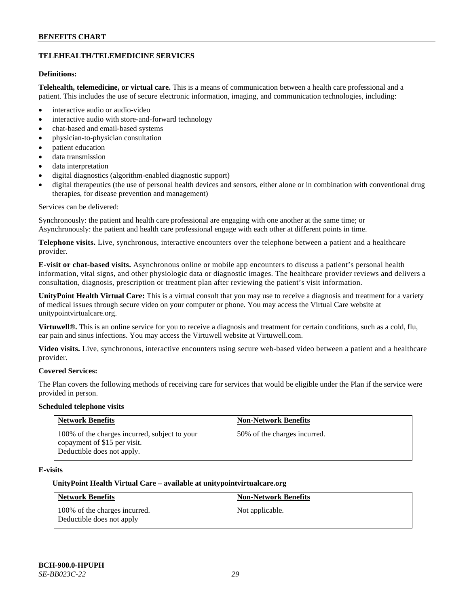# **TELEHEALTH/TELEMEDICINE SERVICES**

# **Definitions:**

**Telehealth, telemedicine, or virtual care.** This is a means of communication between a health care professional and a patient. This includes the use of secure electronic information, imaging, and communication technologies, including:

- interactive audio or audio-video
- interactive audio with store-and-forward technology
- chat-based and email-based systems
- physician-to-physician consultation
- patient education
- data transmission
- data interpretation
- digital diagnostics (algorithm-enabled diagnostic support)
- digital therapeutics (the use of personal health devices and sensors, either alone or in combination with conventional drug therapies, for disease prevention and management)

#### Services can be delivered:

Synchronously: the patient and health care professional are engaging with one another at the same time; or Asynchronously: the patient and health care professional engage with each other at different points in time.

**Telephone visits.** Live, synchronous, interactive encounters over the telephone between a patient and a healthcare provider.

**E-visit or chat-based visits.** Asynchronous online or mobile app encounters to discuss a patient's personal health information, vital signs, and other physiologic data or diagnostic images. The healthcare provider reviews and delivers a consultation, diagnosis, prescription or treatment plan after reviewing the patient's visit information.

**UnityPoint Health Virtual Care:** This is a virtual consult that you may use to receive a diagnosis and treatment for a variety of medical issues through secure video on your computer or phone. You may access the Virtual Care website at [unitypointvirtualcare.org.](https://unitypointvirtualcare.org/landing.htm)

**Virtuwell®.** This is an online service for you to receive a diagnosis and treatment for certain conditions, such as a cold, flu, ear pain and sinus infections. You may access the Virtuwell website at [Virtuwell.com.](https://www.virtuwell.com/)

**Video visits.** Live, synchronous, interactive encounters using secure web-based video between a patient and a healthcare provider.

# **Covered Services:**

The Plan covers the following methods of receiving care for services that would be eligible under the Plan if the service were provided in person.

#### **Scheduled telephone visits**

| <b>Network Benefits</b>                                                                                     | <b>Non-Network Benefits</b>  |
|-------------------------------------------------------------------------------------------------------------|------------------------------|
| 100% of the charges incurred, subject to your<br>copayment of \$15 per visit.<br>Deductible does not apply. | 50% of the charges incurred. |

# **E-visits**

#### **UnityPoint Health Virtual Care – available a[t unitypointvirtualcare.org](http://www.unitypointvirtualcare.org/)**

| <b>Network Benefits</b>                                    | <b>Non-Network Benefits</b> |
|------------------------------------------------------------|-----------------------------|
| 100% of the charges incurred.<br>Deductible does not apply | Not applicable.             |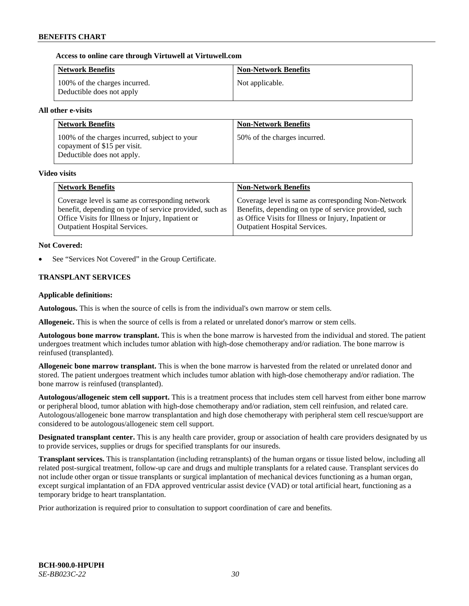### **Access to online care through Virtuwell at [Virtuwell.com](http://www.virtuwell.com/)**

| <b>Network Benefits</b>                                    | <b>Non-Network Benefits</b> |
|------------------------------------------------------------|-----------------------------|
| 100% of the charges incurred.<br>Deductible does not apply | Not applicable.             |

### **All other e-visits**

| <b>Network Benefits</b>                                                                                     | <b>Non-Network Benefits</b>  |
|-------------------------------------------------------------------------------------------------------------|------------------------------|
| 100% of the charges incurred, subject to your<br>copayment of \$15 per visit.<br>Deductible does not apply. | 50% of the charges incurred. |

#### **Video visits**

| <b>Network Benefits</b>                                 | <b>Non-Network Benefits</b>                           |
|---------------------------------------------------------|-------------------------------------------------------|
| Coverage level is same as corresponding network         | Coverage level is same as corresponding Non-Network   |
| benefit, depending on type of service provided, such as | Benefits, depending on type of service provided, such |
| Office Visits for Illness or Injury, Inpatient or       | as Office Visits for Illness or Injury, Inpatient or  |
| <b>Outpatient Hospital Services.</b>                    | <b>Outpatient Hospital Services.</b>                  |

### **Not Covered:**

See "Services Not Covered" in the Group Certificate.

# **TRANSPLANT SERVICES**

### **Applicable definitions:**

**Autologous.** This is when the source of cells is from the individual's own marrow or stem cells.

**Allogeneic.** This is when the source of cells is from a related or unrelated donor's marrow or stem cells.

**Autologous bone marrow transplant.** This is when the bone marrow is harvested from the individual and stored. The patient undergoes treatment which includes tumor ablation with high-dose chemotherapy and/or radiation. The bone marrow is reinfused (transplanted).

**Allogeneic bone marrow transplant.** This is when the bone marrow is harvested from the related or unrelated donor and stored. The patient undergoes treatment which includes tumor ablation with high-dose chemotherapy and/or radiation. The bone marrow is reinfused (transplanted).

**Autologous/allogeneic stem cell support.** This is a treatment process that includes stem cell harvest from either bone marrow or peripheral blood, tumor ablation with high-dose chemotherapy and/or radiation, stem cell reinfusion, and related care. Autologous/allogeneic bone marrow transplantation and high dose chemotherapy with peripheral stem cell rescue/support are considered to be autologous/allogeneic stem cell support.

**Designated transplant center.** This is any health care provider, group or association of health care providers designated by us to provide services, supplies or drugs for specified transplants for our insureds.

**Transplant services.** This is transplantation (including retransplants) of the human organs or tissue listed below, including all related post-surgical treatment, follow-up care and drugs and multiple transplants for a related cause. Transplant services do not include other organ or tissue transplants or surgical implantation of mechanical devices functioning as a human organ, except surgical implantation of an FDA approved ventricular assist device (VAD) or total artificial heart, functioning as a temporary bridge to heart transplantation.

Prior authorization is required prior to consultation to support coordination of care and benefits.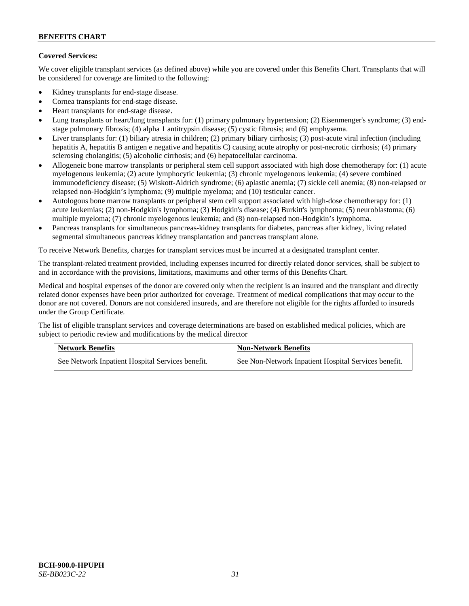# **Covered Services:**

We cover eligible transplant services (as defined above) while you are covered under this Benefits Chart. Transplants that will be considered for coverage are limited to the following:

- Kidney transplants for end-stage disease.
- Cornea transplants for end-stage disease.
- Heart transplants for end-stage disease.
- Lung transplants or heart/lung transplants for: (1) primary pulmonary hypertension; (2) Eisenmenger's syndrome; (3) endstage pulmonary fibrosis; (4) alpha 1 antitrypsin disease; (5) cystic fibrosis; and (6) emphysema.
- Liver transplants for: (1) biliary atresia in children; (2) primary biliary cirrhosis; (3) post-acute viral infection (including hepatitis A, hepatitis B antigen e negative and hepatitis C) causing acute atrophy or post-necrotic cirrhosis; (4) primary sclerosing cholangitis; (5) alcoholic cirrhosis; and (6) hepatocellular carcinoma.
- Allogeneic bone marrow transplants or peripheral stem cell support associated with high dose chemotherapy for: (1) acute myelogenous leukemia; (2) acute lymphocytic leukemia; (3) chronic myelogenous leukemia; (4) severe combined immunodeficiency disease; (5) Wiskott-Aldrich syndrome; (6) aplastic anemia; (7) sickle cell anemia; (8) non-relapsed or relapsed non-Hodgkin's lymphoma; (9) multiple myeloma; and (10) testicular cancer.
- Autologous bone marrow transplants or peripheral stem cell support associated with high-dose chemotherapy for: (1) acute leukemias; (2) non-Hodgkin's lymphoma; (3) Hodgkin's disease; (4) Burkitt's lymphoma; (5) neuroblastoma; (6) multiple myeloma; (7) chronic myelogenous leukemia; and (8) non-relapsed non-Hodgkin's lymphoma.
- Pancreas transplants for simultaneous pancreas-kidney transplants for diabetes, pancreas after kidney, living related segmental simultaneous pancreas kidney transplantation and pancreas transplant alone.

To receive Network Benefits, charges for transplant services must be incurred at a designated transplant center.

The transplant-related treatment provided, including expenses incurred for directly related donor services, shall be subject to and in accordance with the provisions, limitations, maximums and other terms of this Benefits Chart.

Medical and hospital expenses of the donor are covered only when the recipient is an insured and the transplant and directly related donor expenses have been prior authorized for coverage. Treatment of medical complications that may occur to the donor are not covered. Donors are not considered insureds, and are therefore not eligible for the rights afforded to insureds under the Group Certificate.

The list of eligible transplant services and coverage determinations are based on established medical policies, which are subject to periodic review and modifications by the medical director

| <b>Network Benefits</b>                          | <b>Non-Network Benefits</b>                          |
|--------------------------------------------------|------------------------------------------------------|
| See Network Inpatient Hospital Services benefit. | See Non-Network Inpatient Hospital Services benefit. |